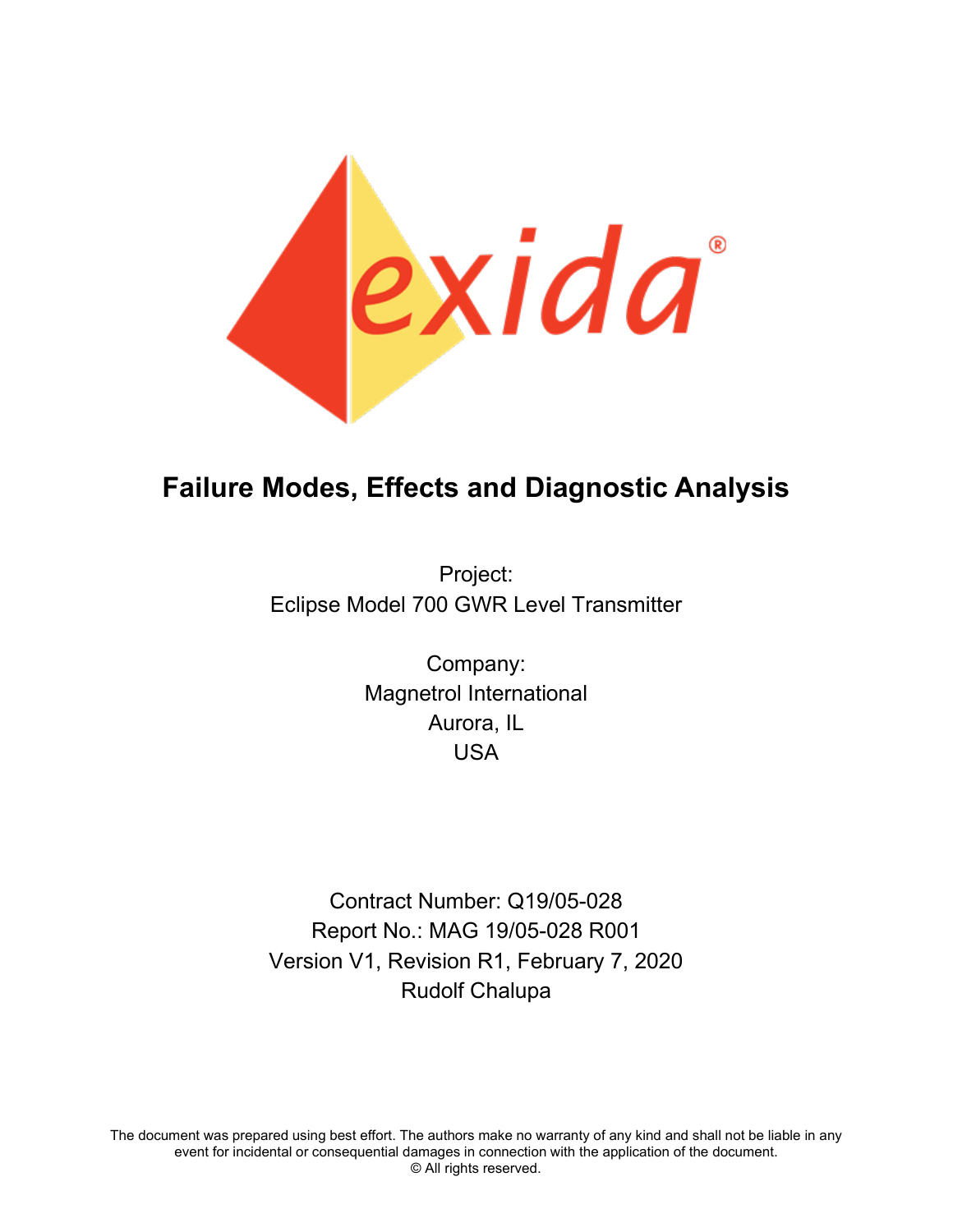

# **Failure Modes, Effects and Diagnostic Analysis**

Project: Eclipse Model 700 GWR Level Transmitter

> Company: Magnetrol International Aurora, IL USA

Contract Number: Q19/05-028 Report No.: MAG 19/05-028 R001 Version V1, Revision R1, February 7, 2020 Rudolf Chalupa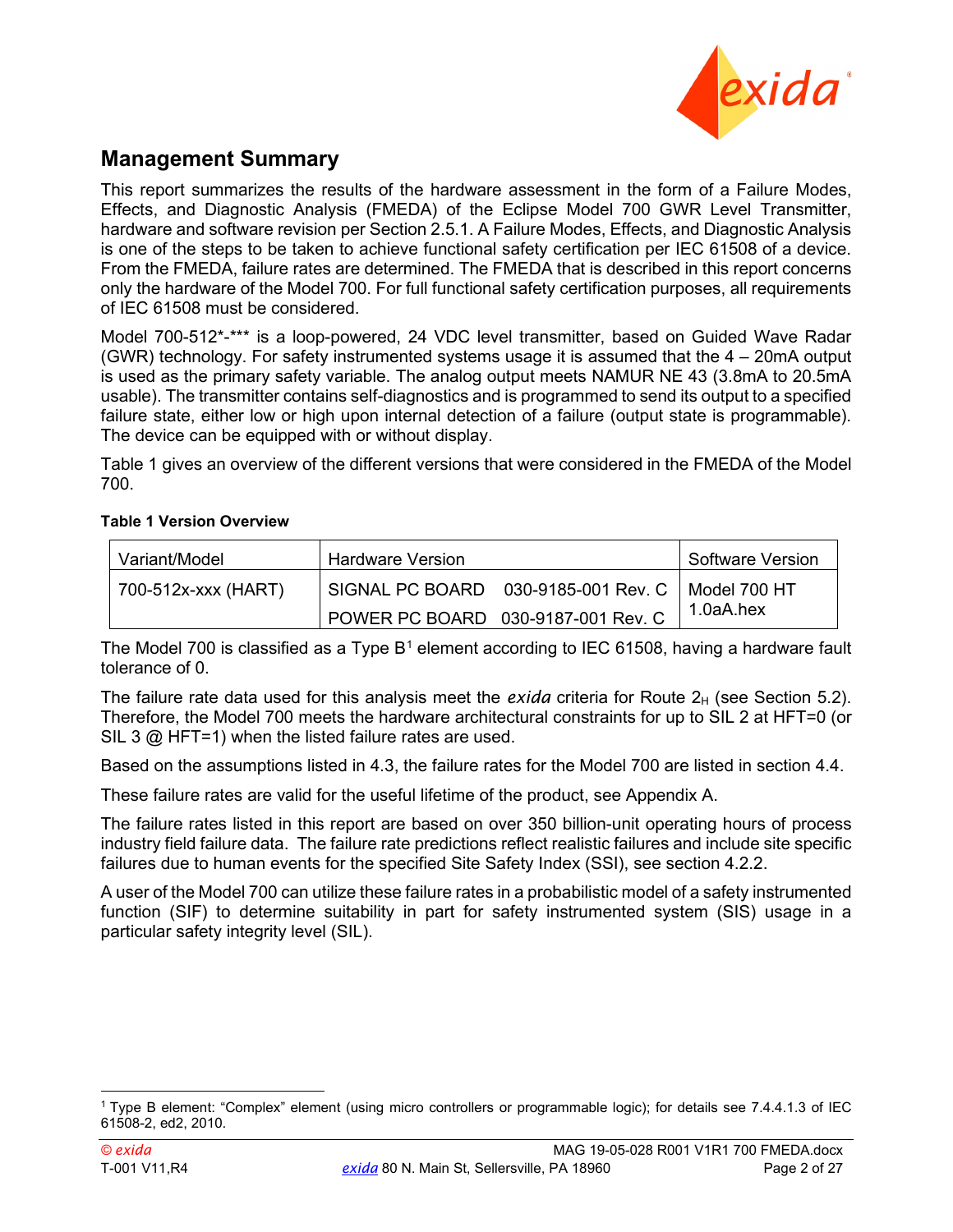

### **Management Summary**

This report summarizes the results of the hardware assessment in the form of a Failure Modes, Effects, and Diagnostic Analysis (FMEDA) of the Eclipse Model 700 GWR Level Transmitter, hardware and software revision per Section [2.5.1.](#page-5-0) A Failure Modes, Effects, and Diagnostic Analysis is one of the steps to be taken to achieve functional safety certification per IEC 61508 of a device. From the FMEDA, failure rates are determined. The FMEDA that is described in this report concerns only the hardware of the Model 700. For full functional safety certification purposes, all requirements of IEC 61508 must be considered.

Model 700-512\*-\*\*\* is a loop-powered, 24 VDC level transmitter, based on Guided Wave Radar (GWR) technology. For safety instrumented systems usage it is assumed that the 4 – 20mA output is used as the primary safety variable. The analog output meets NAMUR NE 43 (3.8mA to 20.5mA usable). The transmitter contains self-diagnostics and is programmed to send its output to a specified failure state, either low or high upon internal detection of a failure (output state is programmable). The device can be equipped with or without display.

[Table 1](#page-1-0) gives an overview of the different versions that were considered in the FMEDA of the Model 700.

#### <span id="page-1-0"></span>**Table 1 Version Overview**

| Variant/Model       | <b>Hardware Version</b> |                                    | Software Version |
|---------------------|-------------------------|------------------------------------|------------------|
| 700-512x-xxx (HART) |                         |                                    |                  |
|                     |                         | POWER PC BOARD 030-9187-001 Rev. C | 1.0aA.hex        |

The Model 700 is classified as a Type  $B<sup>1</sup>$  $B<sup>1</sup>$  $B<sup>1</sup>$  element according to IEC 61508, having a hardware fault tolerance of 0.

The failure rate data used for this analysis meet the *exida* criteria for Route  $2_H$  (see Section [5.2\)](#page-12-0). Therefore, the Model 700 meets the hardware architectural constraints for up to SIL 2 at HFT=0 (or SIL 3  $@$  HFT=1) when the listed failure rates are used.

Based on the assumptions listed in [4.3,](#page-10-0) the failure rates for the Model 700 are listed in section [4.4.](#page-10-1)

These failure rates are valid for the useful lifetime of the product, see [Appendix A.](#page-16-0)

The failure rates listed in this report are based on over 350 billion-unit operating hours of process industry field failure data. The failure rate predictions reflect realistic failures and include site specific failures due to human events for the specified Site Safety Index (SSI), see section [4.2.2.](#page-9-0)

A user of the Model 700 can utilize these failure rates in a probabilistic model of a safety instrumented function (SIF) to determine suitability in part for safety instrumented system (SIS) usage in a particular safety integrity level (SIL).

<span id="page-1-1"></span><sup>1</sup> Type B element: "Complex" element (using micro controllers or programmable logic); for details see 7.4.4.1.3 of IEC 61508-2, ed2, 2010.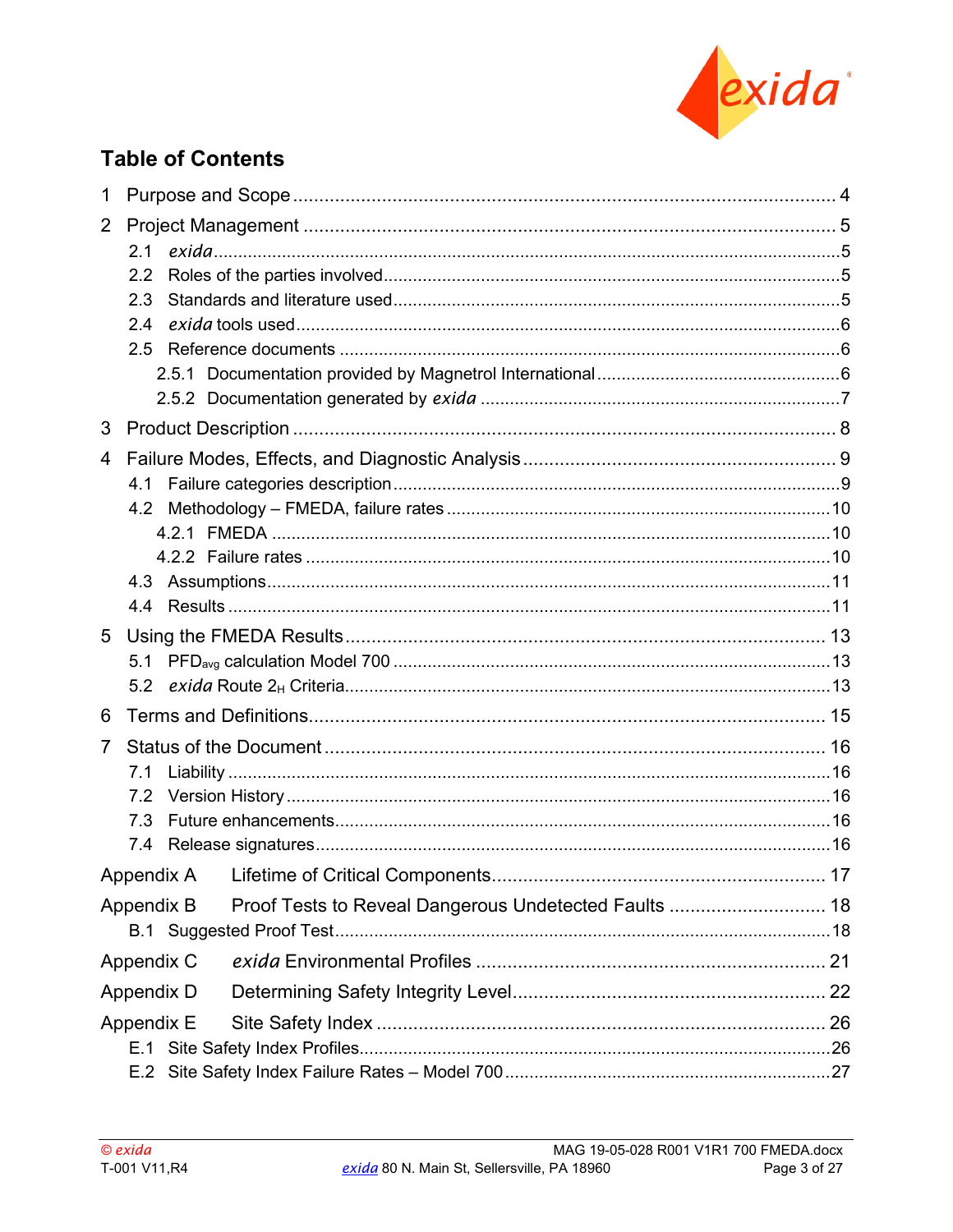

## **Table of Contents**

| 1              |                                                                     |  |
|----------------|---------------------------------------------------------------------|--|
| $\overline{2}$ |                                                                     |  |
|                |                                                                     |  |
|                | 2.2                                                                 |  |
|                | 2.3                                                                 |  |
|                | 2.4                                                                 |  |
|                |                                                                     |  |
|                |                                                                     |  |
|                |                                                                     |  |
| 3              |                                                                     |  |
| 4              |                                                                     |  |
|                |                                                                     |  |
|                |                                                                     |  |
|                |                                                                     |  |
|                |                                                                     |  |
|                |                                                                     |  |
|                |                                                                     |  |
| 5              |                                                                     |  |
|                |                                                                     |  |
|                |                                                                     |  |
| 6              |                                                                     |  |
| $\overline{7}$ |                                                                     |  |
|                |                                                                     |  |
|                | 7.2                                                                 |  |
|                | 7.3                                                                 |  |
|                |                                                                     |  |
|                | Appendix A Lifetime of Critical Components.                         |  |
|                | Proof Tests to Reveal Dangerous Undetected Faults  18<br>Appendix B |  |
|                |                                                                     |  |
|                | Appendix C                                                          |  |
|                | Appendix D                                                          |  |
|                | Appendix E                                                          |  |
|                | E.1                                                                 |  |
|                | E.2                                                                 |  |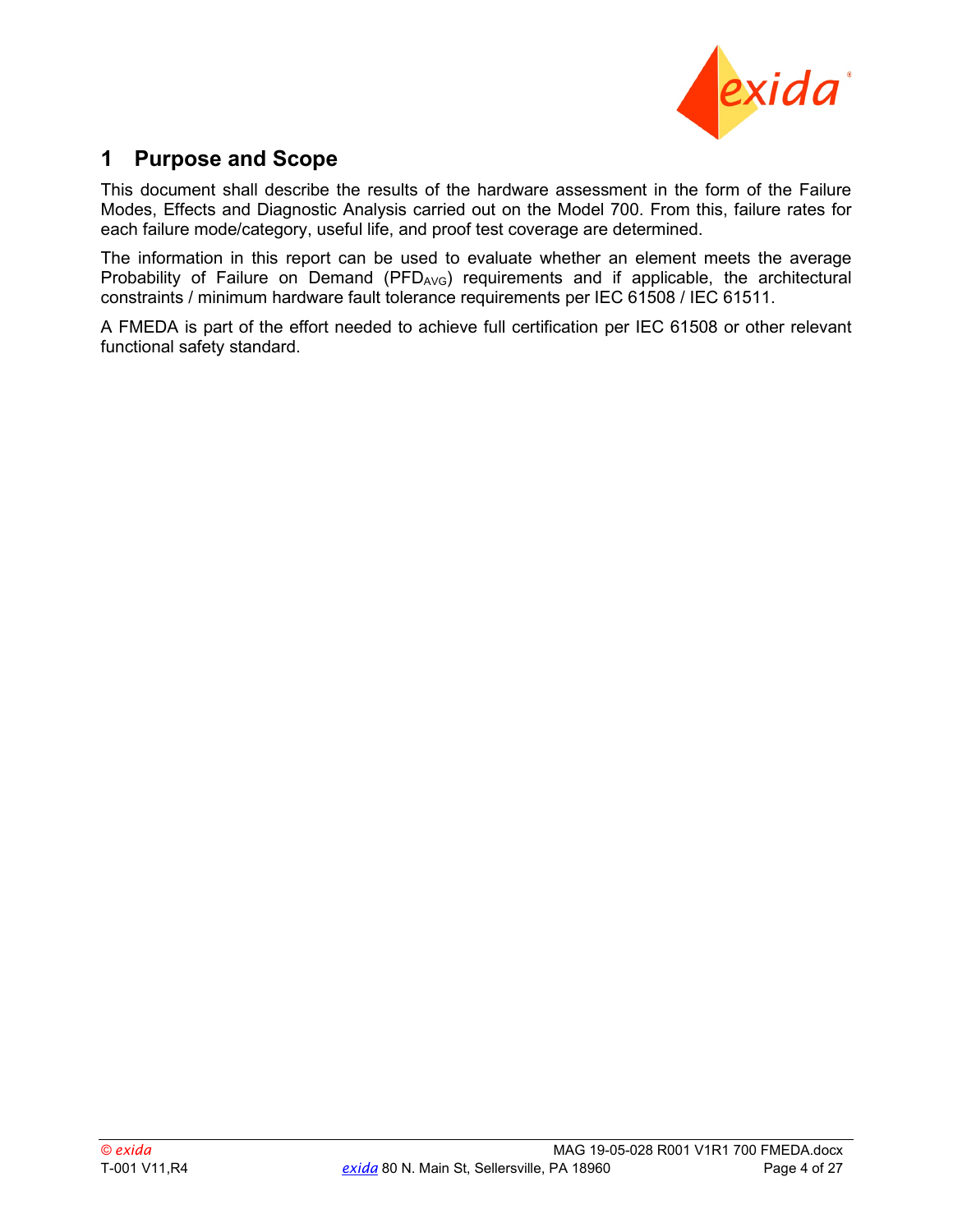

### <span id="page-3-0"></span>**1 Purpose and Scope**

This document shall describe the results of the hardware assessment in the form of the Failure Modes, Effects and Diagnostic Analysis carried out on the Model 700. From this, failure rates for each failure mode/category, useful life, and proof test coverage are determined.

The information in this report can be used to evaluate whether an element meets the average Probability of Failure on Demand (PFD $_{AVG}$ ) requirements and if applicable, the architectural constraints / minimum hardware fault tolerance requirements per IEC 61508 / IEC 61511.

A FMEDA is part of the effort needed to achieve full certification per IEC 61508 or other relevant functional safety standard.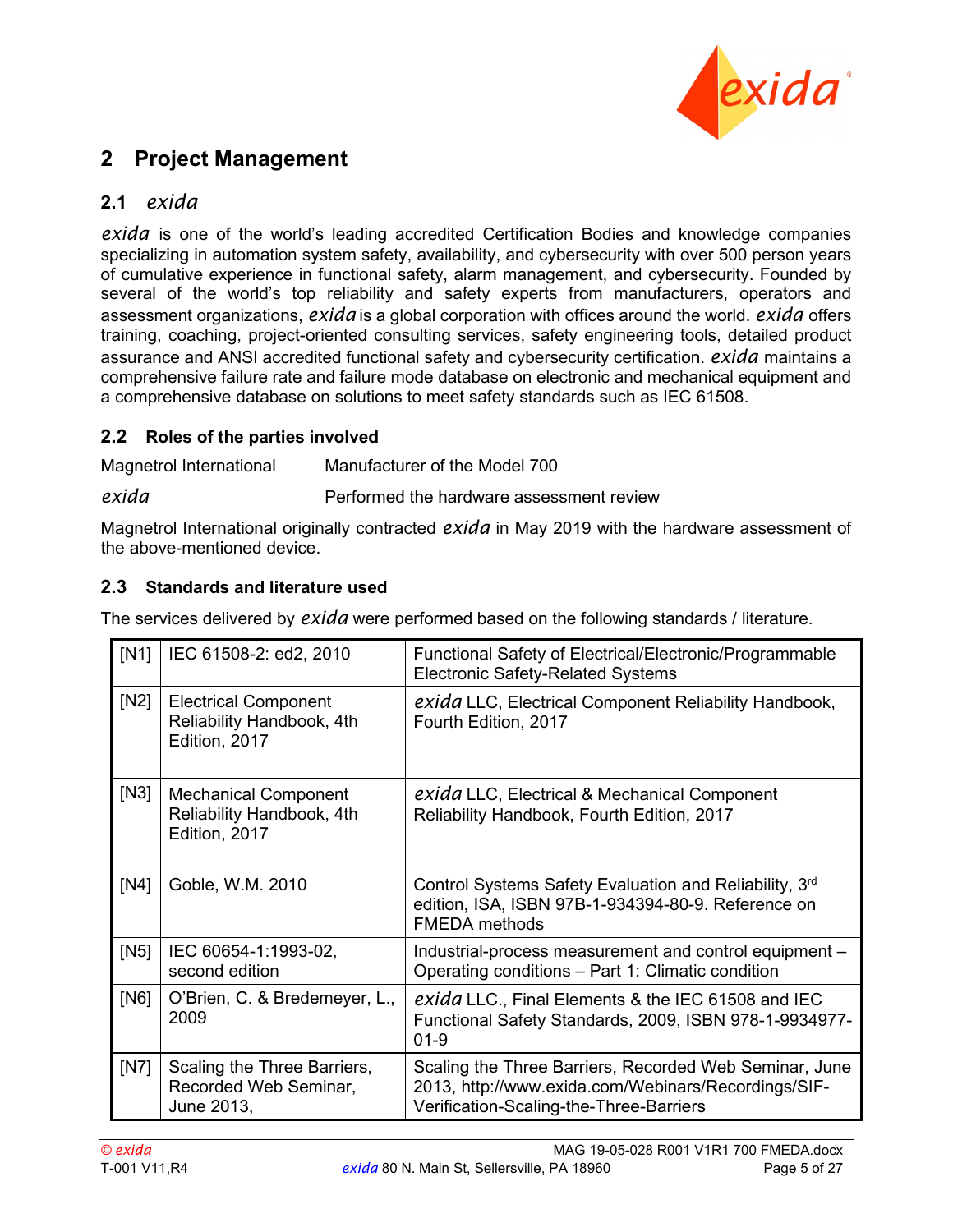

### <span id="page-4-0"></span>**2 Project Management**

### <span id="page-4-1"></span>**2.1** *exida*

*exida* is one of the world's leading accredited Certification Bodies and knowledge companies specializing in automation system safety, availability, and cybersecurity with over 500 person years of cumulative experience in functional safety, alarm management, and cybersecurity. Founded by several of the world's top reliability and safety experts from manufacturers, operators and assessment organizations, *exida* is a global corporation with offices around the world. *exida* offers training, coaching, project-oriented consulting services, safety engineering tools, detailed product assurance and ANSI accredited functional safety and cybersecurity certification. *exida* maintains a comprehensive failure rate and failure mode database on electronic and mechanical equipment and a comprehensive database on solutions to meet safety standards such as IEC 61508.

#### <span id="page-4-2"></span>**2.2 Roles of the parties involved**

Magnetrol International Manufacturer of the Model 700

exida **Performed** the hardware assessment review

Magnetrol International originally contracted *exida* in May 2019 with the hardware assessment of the above-mentioned device.

#### <span id="page-4-3"></span>**2.3 Standards and literature used**

The services delivered by *exida* were performed based on the following standards / literature.

<span id="page-4-7"></span><span id="page-4-6"></span><span id="page-4-5"></span><span id="page-4-4"></span>

| [N1] | IEC 61508-2: ed2, 2010                                                    | Functional Safety of Electrical/Electronic/Programmable<br><b>Electronic Safety-Related Systems</b>                                                      |
|------|---------------------------------------------------------------------------|----------------------------------------------------------------------------------------------------------------------------------------------------------|
| [N2] | <b>Electrical Component</b><br>Reliability Handbook, 4th<br>Edition, 2017 | exida LLC, Electrical Component Reliability Handbook,<br>Fourth Edition, 2017                                                                            |
| [N3] | <b>Mechanical Component</b><br>Reliability Handbook, 4th<br>Edition, 2017 | exida LLC, Electrical & Mechanical Component<br>Reliability Handbook, Fourth Edition, 2017                                                               |
| [N4] | Goble, W.M. 2010                                                          | Control Systems Safety Evaluation and Reliability, 3rd<br>edition, ISA, ISBN 97B-1-934394-80-9. Reference on<br><b>FMEDA</b> methods                     |
| [N5] | IEC 60654-1:1993-02,<br>second edition                                    | Industrial-process measurement and control equipment -<br>Operating conditions - Part 1: Climatic condition                                              |
| [NG] | O'Brien, C. & Bredemeyer, L.,<br>2009                                     | exida LLC., Final Elements & the IEC 61508 and IEC<br>Functional Safety Standards, 2009, ISBN 978-1-9934977-<br>$01 - 9$                                 |
| [N7] | Scaling the Three Barriers,<br>Recorded Web Seminar,<br>June 2013,        | Scaling the Three Barriers, Recorded Web Seminar, June<br>2013, http://www.exida.com/Webinars/Recordings/SIF-<br>Verification-Scaling-the-Three-Barriers |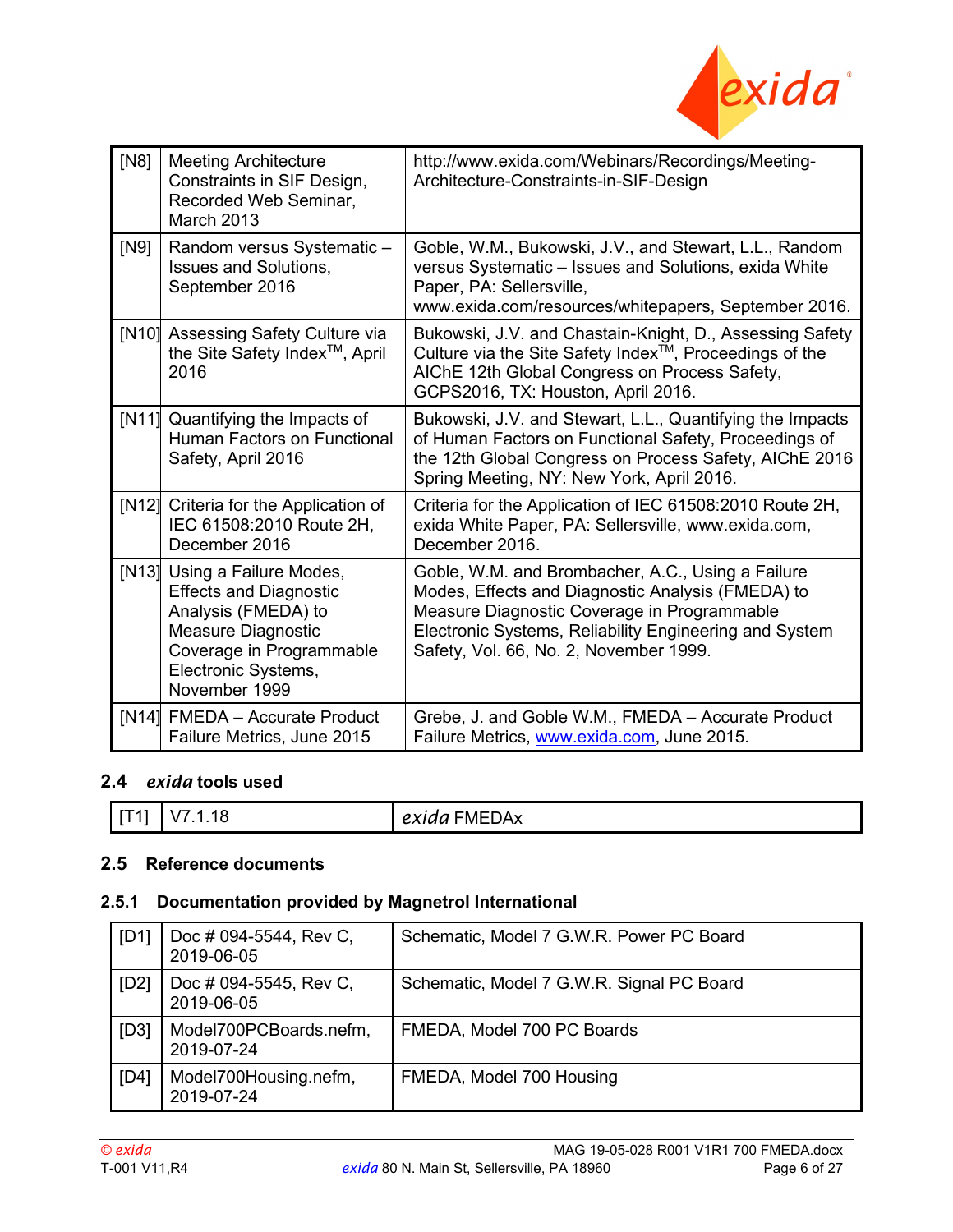

<span id="page-5-4"></span>

| [N8]  | <b>Meeting Architecture</b><br>Constraints in SIF Design,<br>Recorded Web Seminar,<br><b>March 2013</b>                                                                  | http://www.exida.com/Webinars/Recordings/Meeting-<br>Architecture-Constraints-in-SIF-Design                                                                                                                                                               |
|-------|--------------------------------------------------------------------------------------------------------------------------------------------------------------------------|-----------------------------------------------------------------------------------------------------------------------------------------------------------------------------------------------------------------------------------------------------------|
| [N9]  | Random versus Systematic -<br><b>Issues and Solutions,</b><br>September 2016                                                                                             | Goble, W.M., Bukowski, J.V., and Stewart, L.L., Random<br>versus Systematic - Issues and Solutions, exida White<br>Paper, PA: Sellersville,<br>www.exida.com/resources/whitepapers, September 2016.                                                       |
|       | [N10] Assessing Safety Culture via<br>the Site Safety Index <sup>™</sup> , April<br>2016                                                                                 | Bukowski, J.V. and Chastain-Knight, D., Assessing Safety<br>Culture via the Site Safety Index <sup>™</sup> , Proceedings of the<br>AIChE 12th Global Congress on Process Safety,<br>GCPS2016, TX: Houston, April 2016.                                    |
| [N11] | Quantifying the Impacts of<br>Human Factors on Functional<br>Safety, April 2016                                                                                          | Bukowski, J.V. and Stewart, L.L., Quantifying the Impacts<br>of Human Factors on Functional Safety, Proceedings of<br>the 12th Global Congress on Process Safety, AIChE 2016<br>Spring Meeting, NY: New York, April 2016.                                 |
| [N12] | Criteria for the Application of<br>IEC 61508:2010 Route 2H,<br>December 2016                                                                                             | Criteria for the Application of IEC 61508:2010 Route 2H,<br>exida White Paper, PA: Sellersville, www.exida.com,<br>December 2016.                                                                                                                         |
| [N13] | Using a Failure Modes,<br><b>Effects and Diagnostic</b><br>Analysis (FMEDA) to<br>Measure Diagnostic<br>Coverage in Programmable<br>Electronic Systems,<br>November 1999 | Goble, W.M. and Brombacher, A.C., Using a Failure<br>Modes, Effects and Diagnostic Analysis (FMEDA) to<br>Measure Diagnostic Coverage in Programmable<br>Electronic Systems, Reliability Engineering and System<br>Safety, Vol. 66, No. 2, November 1999. |
| [N14] | <b>FMEDA</b> – Accurate Product<br>Failure Metrics, June 2015                                                                                                            | Grebe, J. and Goble W.M., FMEDA - Accurate Product<br>Failure Metrics, www.exida.com, June 2015.                                                                                                                                                          |

### <span id="page-5-3"></span><span id="page-5-1"></span>**2.4** *exida* **tools used**

| . . L<br>$\mathbf{v}$ | $- - -$<br>----<br><i>exida</i> FMEDAx |
|-----------------------|----------------------------------------|
|-----------------------|----------------------------------------|

#### <span id="page-5-2"></span>**2.5 Reference documents**

### <span id="page-5-0"></span>**2.5.1 Documentation provided by Magnetrol International**

| [D1] | Doc # 094-5544, Rev C,<br>2019-06-05 | Schematic, Model 7 G.W.R. Power PC Board  |
|------|--------------------------------------|-------------------------------------------|
| [D2] | Doc # 094-5545, Rev C,<br>2019-06-05 | Schematic, Model 7 G.W.R. Signal PC Board |
| [D3] | Model700PCBoards.nefm,<br>2019-07-24 | FMEDA, Model 700 PC Boards                |
| [D4] | Model700Housing.nefm,<br>2019-07-24  | FMEDA, Model 700 Housing                  |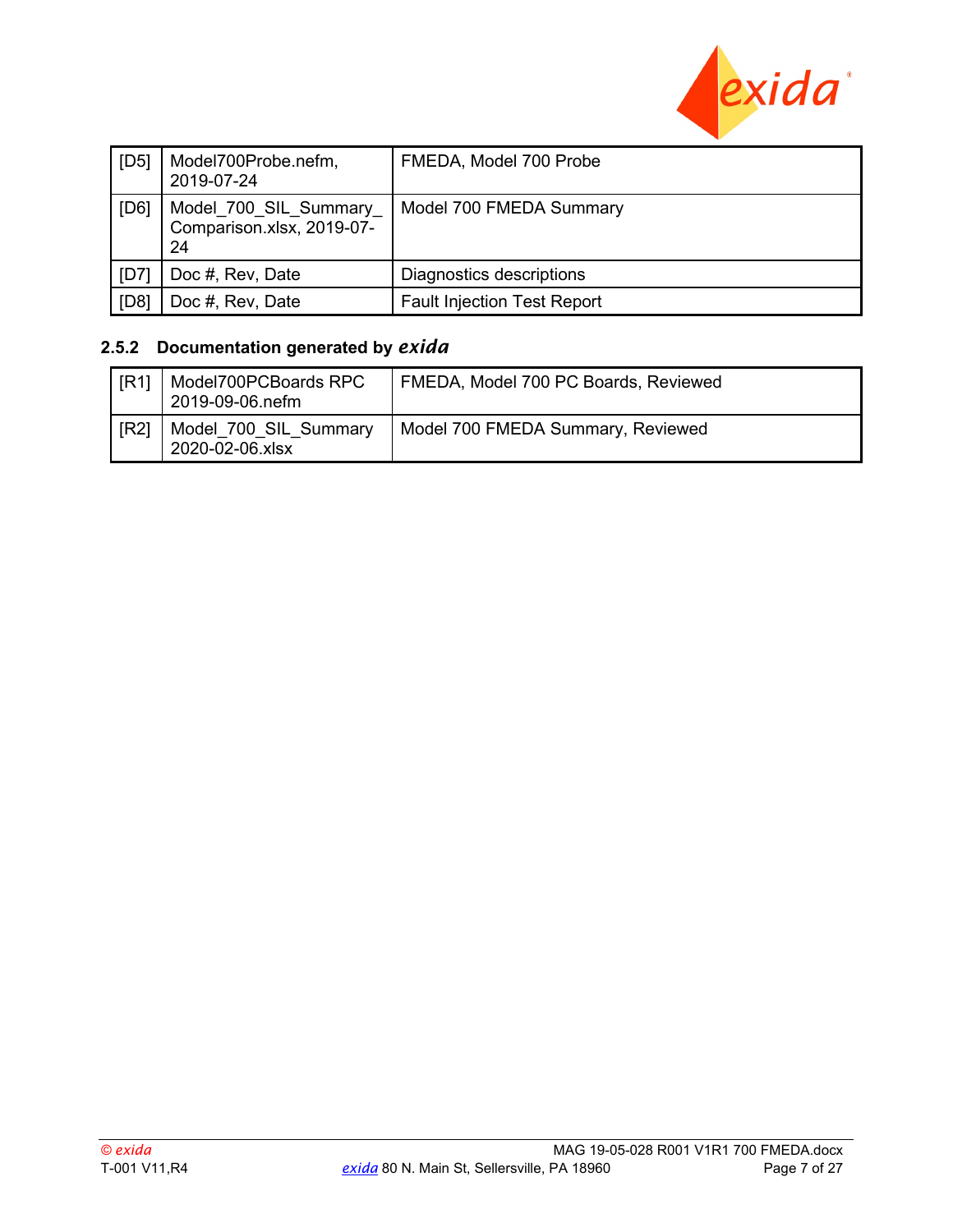

| [D5] | Model700Probe.nefm,<br>2019-07-24                        | FMEDA, Model 700 Probe             |
|------|----------------------------------------------------------|------------------------------------|
| [D6] | Model_700_SIL_Summary<br>Comparison.xlsx, 2019-07-<br>24 | Model 700 FMEDA Summary            |
| [D7] | Doc #, Rev, Date                                         | Diagnostics descriptions           |
| [D8] | Doc #, Rev, Date                                         | <b>Fault Injection Test Report</b> |

### <span id="page-6-0"></span>**2.5.2 Documentation generated by** *exida*

<span id="page-6-1"></span>

| $\overline{IR1}$ | Model700PCBoards RPC<br>2019-09-06.nefm  | FMEDA, Model 700 PC Boards, Reviewed |
|------------------|------------------------------------------|--------------------------------------|
| IR21             | Model 700 SIL Summary<br>2020-02-06.xlsx | Model 700 FMEDA Summary, Reviewed    |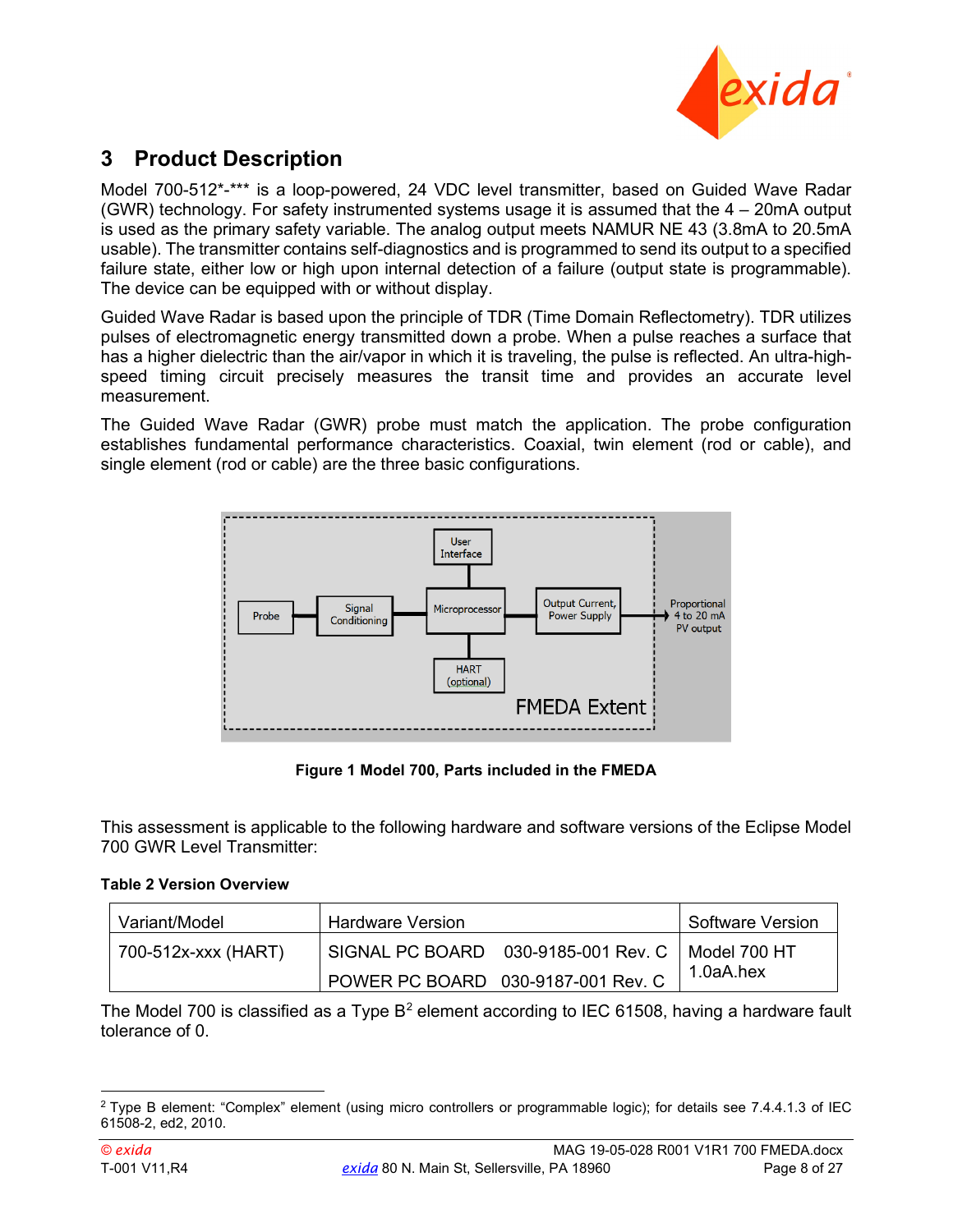

### <span id="page-7-0"></span>**3 Product Description**

Model 700-512\*-\*\*\* is a loop-powered, 24 VDC level transmitter, based on Guided Wave Radar (GWR) technology. For safety instrumented systems usage it is assumed that the 4 – 20mA output is used as the primary safety variable. The analog output meets NAMUR NE 43 (3.8mA to 20.5mA usable). The transmitter contains self-diagnostics and is programmed to send its output to a specified failure state, either low or high upon internal detection of a failure (output state is programmable). The device can be equipped with or without display.

Guided Wave Radar is based upon the principle of TDR (Time Domain Reflectometry). TDR utilizes pulses of electromagnetic energy transmitted down a probe. When a pulse reaches a surface that has a higher dielectric than the air/vapor in which it is traveling, the pulse is reflected. An ultra-highspeed timing circuit precisely measures the transit time and provides an accurate level measurement.

The Guided Wave Radar (GWR) probe must match the application. The probe configuration establishes fundamental performance characteristics. Coaxial, twin element (rod or cable), and single element (rod or cable) are the three basic configurations.



**Figure 1 Model 700, Parts included in the FMEDA**

This assessment is applicable to the following hardware and software versions of the Eclipse Model 700 GWR Level Transmitter:

#### **Table 2 Version Overview**

| Variant/Model       | <b>Hardware Version</b> |                                    | Software Version |
|---------------------|-------------------------|------------------------------------|------------------|
| 700-512x-xxx (HART) |                         |                                    |                  |
|                     |                         | POWER PC BOARD 030-9187-001 Rev. C | 1.0aA.hex        |

The Model 700 is classified as a Type  $B^2$  $B^2$  element according to IEC 61508, having a hardware fault tolerance of 0.

<sup>&</sup>lt;sup>2</sup> Type B element: "Complex" element (using micro controllers or programmable logic); for details see 7.4.4.1.3 of IEC 61508-2, ed2, 2010.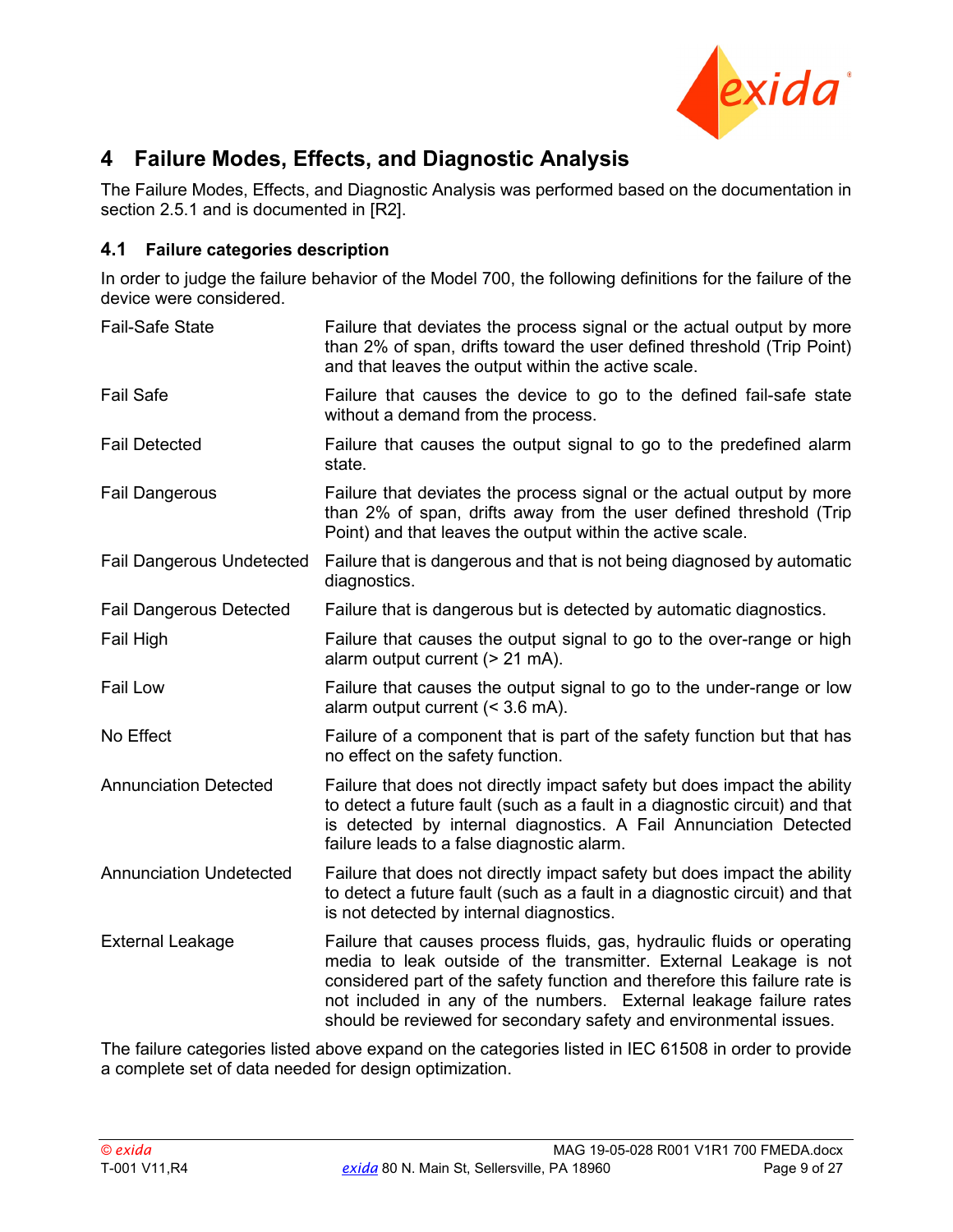

### <span id="page-8-0"></span>**4 Failure Modes, Effects, and Diagnostic Analysis**

The Failure Modes, Effects, and Diagnostic Analysis was performed based on the documentation in section [2.5.1](#page-5-0) and is documented in [\[R2\].](#page-6-1)

#### <span id="page-8-1"></span>**4.1 Failure categories description**

In order to judge the failure behavior of the Model 700, the following definitions for the failure of the device were considered.

| <b>Fail-Safe State</b>           | Failure that deviates the process signal or the actual output by more<br>than 2% of span, drifts toward the user defined threshold (Trip Point)<br>and that leaves the output within the active scale.                                                                                                                                                              |
|----------------------------------|---------------------------------------------------------------------------------------------------------------------------------------------------------------------------------------------------------------------------------------------------------------------------------------------------------------------------------------------------------------------|
| <b>Fail Safe</b>                 | Failure that causes the device to go to the defined fail-safe state<br>without a demand from the process.                                                                                                                                                                                                                                                           |
| <b>Fail Detected</b>             | Failure that causes the output signal to go to the predefined alarm<br>state.                                                                                                                                                                                                                                                                                       |
| <b>Fail Dangerous</b>            | Failure that deviates the process signal or the actual output by more<br>than 2% of span, drifts away from the user defined threshold (Trip<br>Point) and that leaves the output within the active scale.                                                                                                                                                           |
| <b>Fail Dangerous Undetected</b> | Failure that is dangerous and that is not being diagnosed by automatic<br>diagnostics.                                                                                                                                                                                                                                                                              |
| <b>Fail Dangerous Detected</b>   | Failure that is dangerous but is detected by automatic diagnostics.                                                                                                                                                                                                                                                                                                 |
| Fail High                        | Failure that causes the output signal to go to the over-range or high<br>alarm output current (> 21 mA).                                                                                                                                                                                                                                                            |
| Fail Low                         | Failure that causes the output signal to go to the under-range or low<br>alarm output current $(3.6 \text{ mA}).$                                                                                                                                                                                                                                                   |
| No Effect                        | Failure of a component that is part of the safety function but that has<br>no effect on the safety function.                                                                                                                                                                                                                                                        |
| <b>Annunciation Detected</b>     | Failure that does not directly impact safety but does impact the ability<br>to detect a future fault (such as a fault in a diagnostic circuit) and that<br>is detected by internal diagnostics. A Fail Annunciation Detected<br>failure leads to a false diagnostic alarm.                                                                                          |
| <b>Annunciation Undetected</b>   | Failure that does not directly impact safety but does impact the ability<br>to detect a future fault (such as a fault in a diagnostic circuit) and that<br>is not detected by internal diagnostics.                                                                                                                                                                 |
| <b>External Leakage</b>          | Failure that causes process fluids, gas, hydraulic fluids or operating<br>media to leak outside of the transmitter. External Leakage is not<br>considered part of the safety function and therefore this failure rate is<br>not included in any of the numbers. External leakage failure rates<br>should be reviewed for secondary safety and environmental issues. |

<span id="page-8-2"></span>The failure categories listed above expand on the categories listed in IEC 61508 in order to provide a complete set of data needed for design optimization.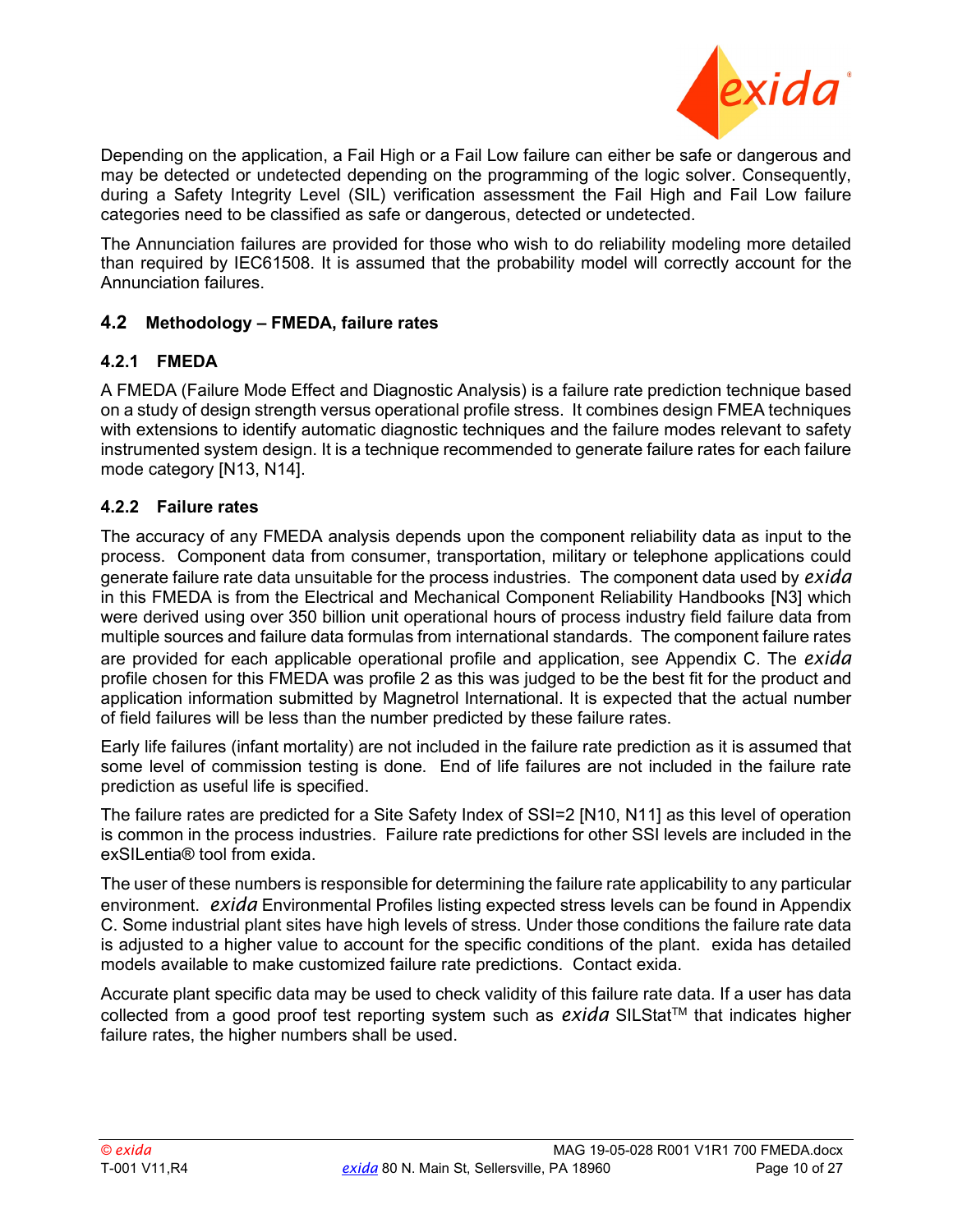

Depending on the application, a Fail High or a Fail Low failure can either be safe or dangerous and may be detected or undetected depending on the programming of the logic solver. Consequently, during a Safety Integrity Level (SIL) verification assessment the Fail High and Fail Low failure categories need to be classified as safe or dangerous, detected or undetected.

The Annunciation failures are provided for those who wish to do reliability modeling more detailed than required by IEC61508. It is assumed that the probability model will correctly account for the Annunciation failures.

#### <span id="page-9-1"></span>**4.2 Methodology – FMEDA, failure rates**

#### <span id="page-9-2"></span>**4.2.1 FMEDA**

A FMEDA (Failure Mode Effect and Diagnostic Analysis) is a failure rate prediction technique based on a study of design strength versus operational profile stress. It combines design FMEA techniques with extensions to identify automatic diagnostic techniques and the failure modes relevant to safety instrumented system design. It is a technique recommended to generate failure rates for each failure mode category [N13, N14].

#### <span id="page-9-0"></span>**4.2.2 Failure rates**

The accuracy of any FMEDA analysis depends upon the component reliability data as input to the process. Component data from consumer, transportation, military or telephone applications could generate failure rate data unsuitable for the process industries. The component data used by *exida* in this FMEDA is from the Electrical and Mechanical Component Reliability Handbooks [\[N3\]](#page-4-4) which were derived using over 350 billion unit operational hours of process industry field failure data from multiple sources and failure data formulas from international standards. The component failure rates are provided for each applicable operational profile and application, see [Appendix C.](#page-20-0) The *exida* profile chosen for this FMEDA was profile 2 as this was judged to be the best fit for the product and application information submitted by Magnetrol International. It is expected that the actual number of field failures will be less than the number predicted by these failure rates.

Early life failures (infant mortality) are not included in the failure rate prediction as it is assumed that some level of commission testing is done. End of life failures are not included in the failure rate prediction as useful life is specified.

The failure rates are predicted for a Site Safety Index of SSI=2 [N10, N11] as this level of operation is common in the process industries. Failure rate predictions for other SSI levels are included in the exSILentia® tool from exida.

The user of these numbers is responsible for determining the failure rate applicability to any particular environment. *exida* Environmental Profiles listing expected stress levels can be found in [Appendix](#page-20-0)  [C.](#page-20-0) Some industrial plant sites have high levels of stress. Under those conditions the failure rate data is adjusted to a higher value to account for the specific conditions of the plant. exida has detailed models available to make customized failure rate predictions. Contact exida.

Accurate plant specific data may be used to check validity of this failure rate data. If a user has data collected from a good proof test reporting system such as *exida* SILStat™ that indicates higher failure rates, the higher numbers shall be used.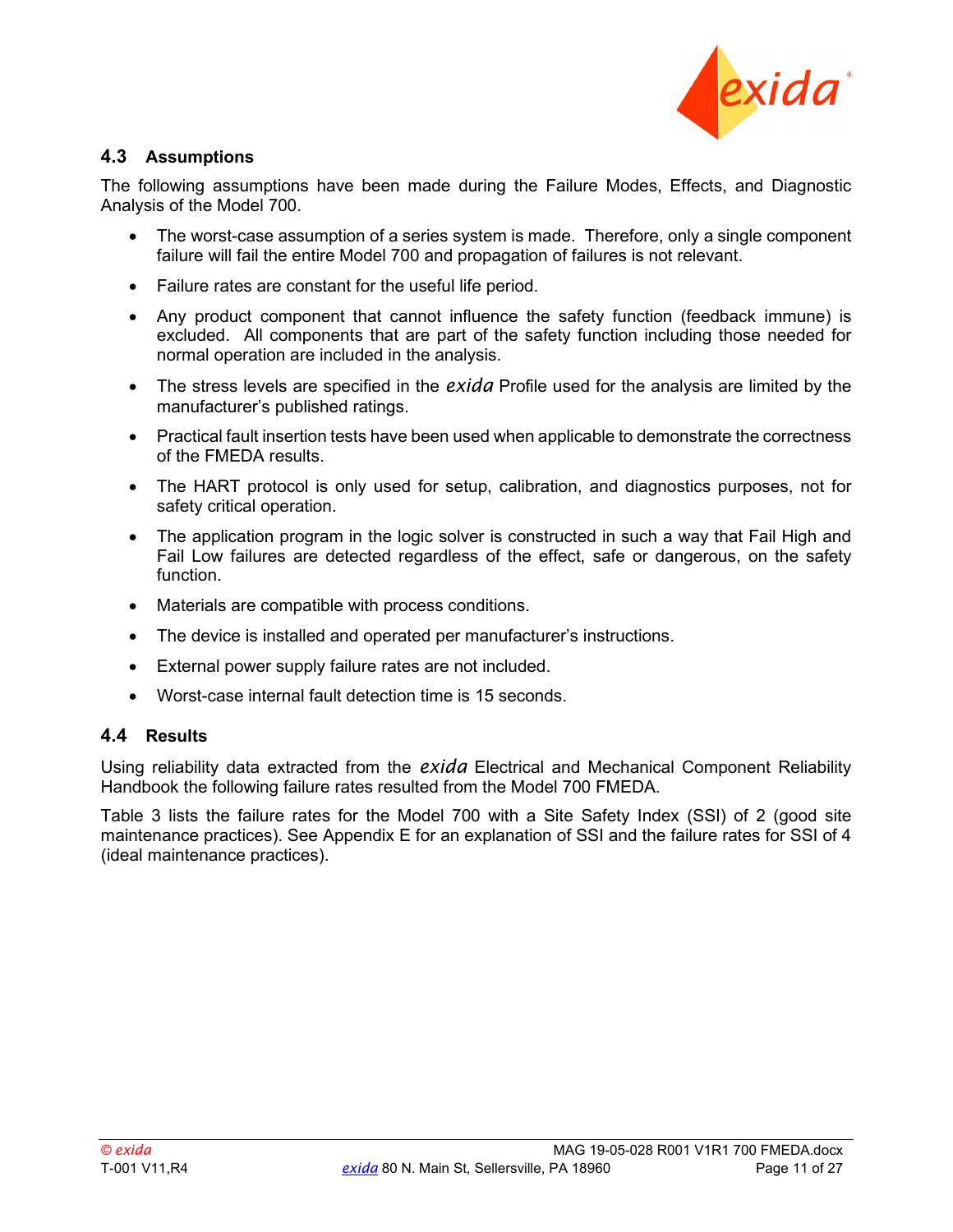

#### <span id="page-10-0"></span>**4.3 Assumptions**

The following assumptions have been made during the Failure Modes, Effects, and Diagnostic Analysis of the Model 700.

- The worst-case assumption of a series system is made. Therefore, only a single component failure will fail the entire Model 700 and propagation of failures is not relevant.
- Failure rates are constant for the useful life period.
- Any product component that cannot influence the safety function (feedback immune) is excluded. All components that are part of the safety function including those needed for normal operation are included in the analysis.
- The stress levels are specified in the *exida* Profile used for the analysis are limited by the manufacturer's published ratings.
- Practical fault insertion tests have been used when applicable to demonstrate the correctness of the FMEDA results.
- The HART protocol is only used for setup, calibration, and diagnostics purposes, not for safety critical operation.
- The application program in the logic solver is constructed in such a way that Fail High and Fail Low failures are detected regardless of the effect, safe or dangerous, on the safety function.
- Materials are compatible with process conditions.
- The device is installed and operated per manufacturer's instructions.
- External power supply failure rates are not included.
- Worst-case internal fault detection time is 15 seconds.

#### <span id="page-10-1"></span>**4.4 Results**

Using reliability data extracted from the *exida* Electrical and Mechanical Component Reliability Handbook the following failure rates resulted from the Model 700 FMEDA.

[Table 3](#page-11-0) lists the failure rates for the Model 700 with a Site Safety Index (SSI) of 2 (good site maintenance practices). See [Appendix E](#page-25-0) for an explanation of SSI and the failure rates for SSI of 4 (ideal maintenance practices).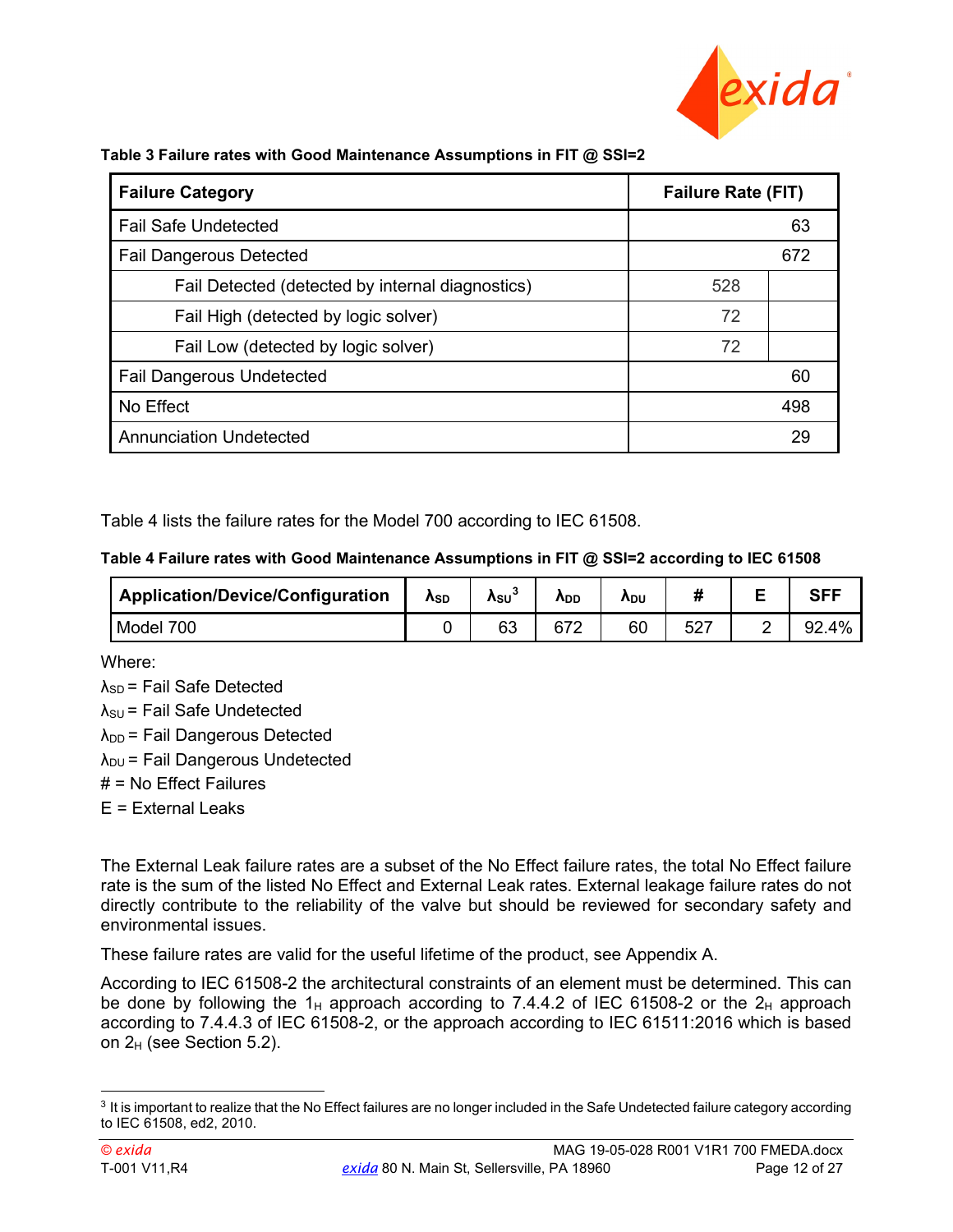

| able 3 Failure rates with Good Maintenance Assumptions in Fill @ SSI=2 |                           |     |  |  |
|------------------------------------------------------------------------|---------------------------|-----|--|--|
| <b>Failure Category</b>                                                | <b>Failure Rate (FIT)</b> |     |  |  |
| <b>Fail Safe Undetected</b>                                            |                           | 63  |  |  |
| <b>Fail Dangerous Detected</b>                                         |                           | 672 |  |  |
| Fail Detected (detected by internal diagnostics)                       | 528                       |     |  |  |
| Fail High (detected by logic solver)                                   | 72                        |     |  |  |
| Fail Low (detected by logic solver)                                    | 72                        |     |  |  |
| <b>Fail Dangerous Undetected</b>                                       |                           | 60  |  |  |
| No Effect                                                              |                           | 498 |  |  |
| <b>Annunciation Undetected</b>                                         |                           | 29  |  |  |

<span id="page-11-0"></span>**Table 3 Failure rates with Good Maintenance Assumptions in FIT @ SSI=2**

<span id="page-11-1"></span>[Table 4](#page-11-1) lists the failure rates for the Model 700 according to IEC 61508.

#### **Table 4 Failure rates with Good Maintenance Assumptions in FIT @ SSI=2 according to IEC 61508**

| <b>Application/Device/Configuration</b> | Asd | Asu` | <b>A</b> DD | <b>ADU</b> |             |           |
|-----------------------------------------|-----|------|-------------|------------|-------------|-----------|
| Model 700                               |     | 63   |             | 60         | 527<br>ا ےں | .4%<br>92 |

Where:

 $\lambda_{SD}$  = Fail Safe Detected  $\lambda_{\text{SU}}$  = Fail Safe Undetected  $\lambda_{DD}$  = Fail Dangerous Detected  $\lambda_{DU}$  = Fail Dangerous Undetected  $#$  = No Effect Failures E = External Leaks

The External Leak failure rates are a subset of the No Effect failure rates, the total No Effect failure rate is the sum of the listed No Effect and External Leak rates. External leakage failure rates do not directly contribute to the reliability of the valve but should be reviewed for secondary safety and environmental issues.

These failure rates are valid for the useful lifetime of the product, see [Appendix A.](#page-16-0)

According to IEC 61508-2 the architectural constraints of an element must be determined. This can be done by following the 1<sub>H</sub> approach according to 7.4.4.2 of IEC 61508-2 or the 2<sub>H</sub> approach according to 7.4.4.3 of IEC 61508-2, or the approach according to IEC 61511:2016 which is based on  $2_H$  (see Section [5.2\)](#page-12-0).

 $3$  It is important to realize that the No Effect failures are no longer included in the Safe Undetected failure category according to IEC 61508, ed2, 2010.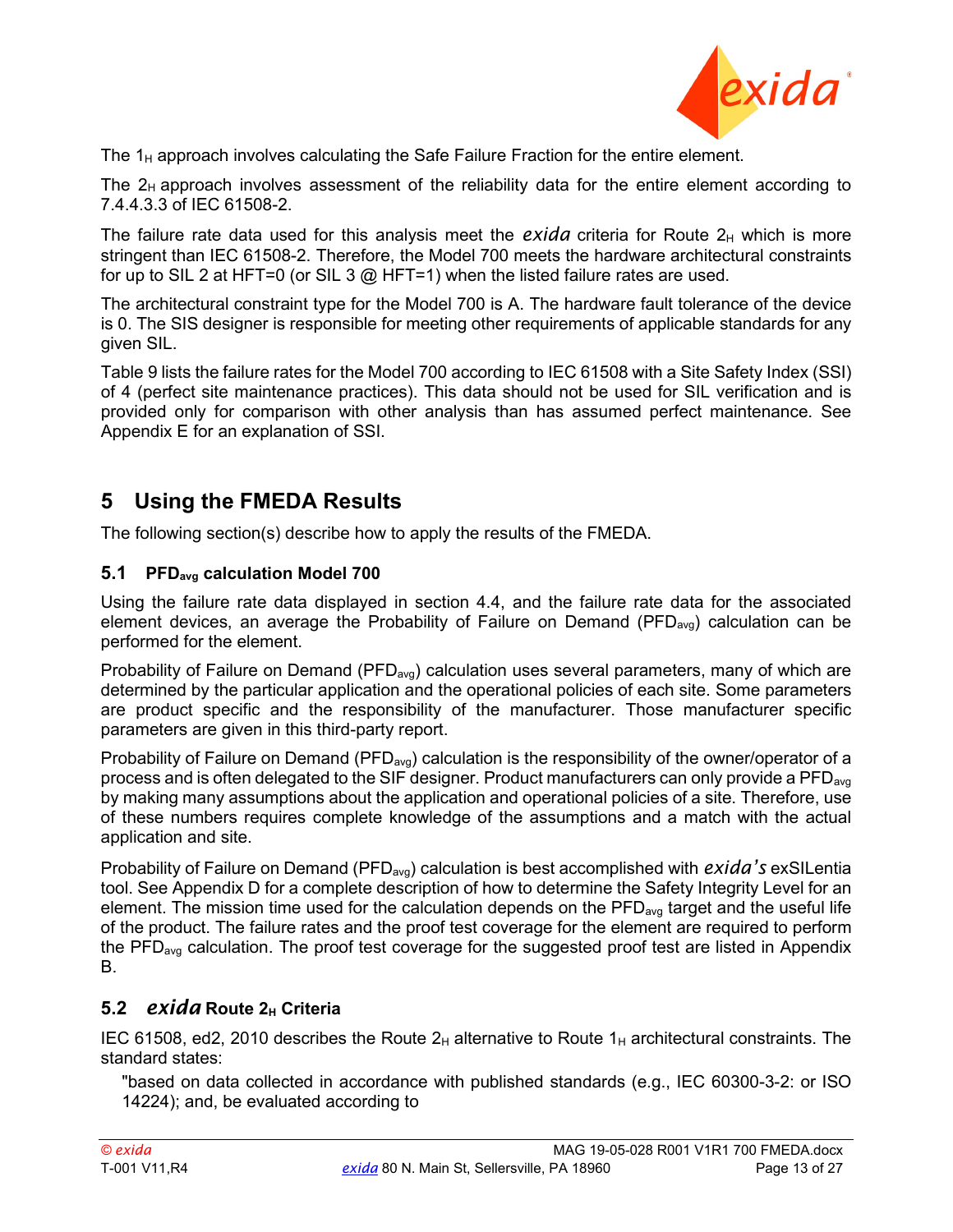

The  $1_H$  approach involves calculating the Safe Failure Fraction for the entire element.

The  $2_H$  approach involves assessment of the reliability data for the entire element according to 7.4.4.3.3 of IEC 61508-2.

The failure rate data used for this analysis meet the  $exida$  criteria for Route  $2<sub>H</sub>$  which is more stringent than IEC 61508-2. Therefore, the Model 700 meets the hardware architectural constraints for up to SIL 2 at HFT=0 (or SIL 3  $@$  HFT=1) when the listed failure rates are used.

The architectural constraint type for the Model 700 is A. The hardware fault tolerance of the device is 0. The SIS designer is responsible for meeting other requirements of applicable standards for any given SIL.

[Table 9](#page-26-1) lists the failure rates for the Model 700 according to IEC 61508 with a Site Safety Index (SSI) of 4 (perfect site maintenance practices). This data should not be used for SIL verification and is provided only for comparison with other analysis than has assumed perfect maintenance. See [Appendix E](#page-25-0) for an explanation of SSI.

### <span id="page-12-1"></span>**5 Using the FMEDA Results**

<span id="page-12-2"></span>The following section(s) describe how to apply the results of the FMEDA.

#### **5.1 PFDavg calculation Model 700**

Using the failure rate data displayed in section [4.4,](#page-10-1) and the failure rate data for the associated element devices, an average the Probability of Failure on Demand (PFD<sub>avg</sub>) calculation can be performed for the element.

Probability of Failure on Demand (PFD<sub>avg</sub>) calculation uses several parameters, many of which are determined by the particular application and the operational policies of each site. Some parameters are product specific and the responsibility of the manufacturer. Those manufacturer specific parameters are given in this third-party report.

Probability of Failure on Demand (PFD<sub>avg</sub>) calculation is the responsibility of the owner/operator of a process and is often delegated to the SIF designer. Product manufacturers can only provide a PFD<sub>avg</sub> by making many assumptions about the application and operational policies of a site. Therefore, use of these numbers requires complete knowledge of the assumptions and a match with the actual application and site.

Probability of Failure on Demand (PFD<sub>avg</sub>) calculation is best accomplished with *exida's* exSILentia tool. Se[e Appendix D](#page-21-0) for a complete description of how to determine the Safety Integrity Level for an element. The mission time used for the calculation depends on the  $PFD<sub>ava</sub>$  target and the useful life of the product. The failure rates and the proof test coverage for the element are required to perform the PFD<sub>avg</sub> calculation. The proof test coverage for the suggested proof test are listed in Appendix [B.](#page-17-0)

### <span id="page-12-0"></span>**5.2** *exida* **Route 2H Criteria**

<span id="page-12-3"></span>IEC 61508, ed2, 2010 describes the Route  $2_H$  alternative to Route  $1_H$  architectural constraints. The standard states:

"based on data collected in accordance with published standards (e.g., IEC 60300-3-2: or ISO 14224); and, be evaluated according to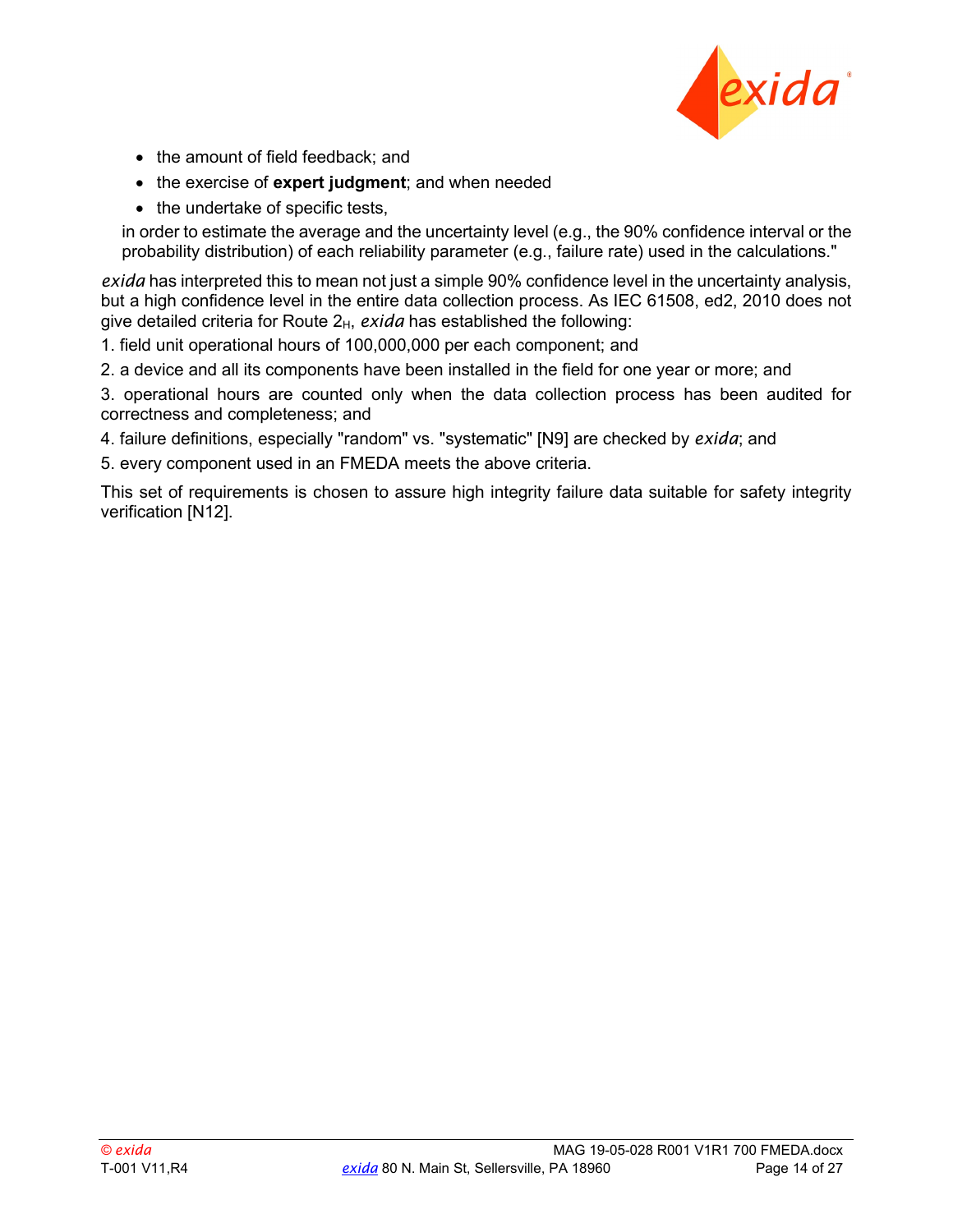

- the amount of field feedback; and
- the exercise of **expert judgment**; and when needed
- the undertake of specific tests,

in order to estimate the average and the uncertainty level (e.g., the 90% confidence interval or the probability distribution) of each reliability parameter (e.g., failure rate) used in the calculations."

*exida* has interpreted this to mean not just a simple 90% confidence level in the uncertainty analysis, but a high confidence level in the entire data collection process. As IEC 61508, ed2, 2010 does not give detailed criteria for Route 2<sub>H</sub>, *exida* has established the following:

1. field unit operational hours of 100,000,000 per each component; and

2. a device and all its components have been installed in the field for one year or more; and

3. operational hours are counted only when the data collection process has been audited for correctness and completeness; and

- 4. failure definitions, especially "random" vs. "systematic" [N9] are checked by *exida*; and
- 5. every component used in an FMEDA meets the above criteria.

This set of requirements is chosen to assure high integrity failure data suitable for safety integrity verification [\[N12\].](#page-5-3)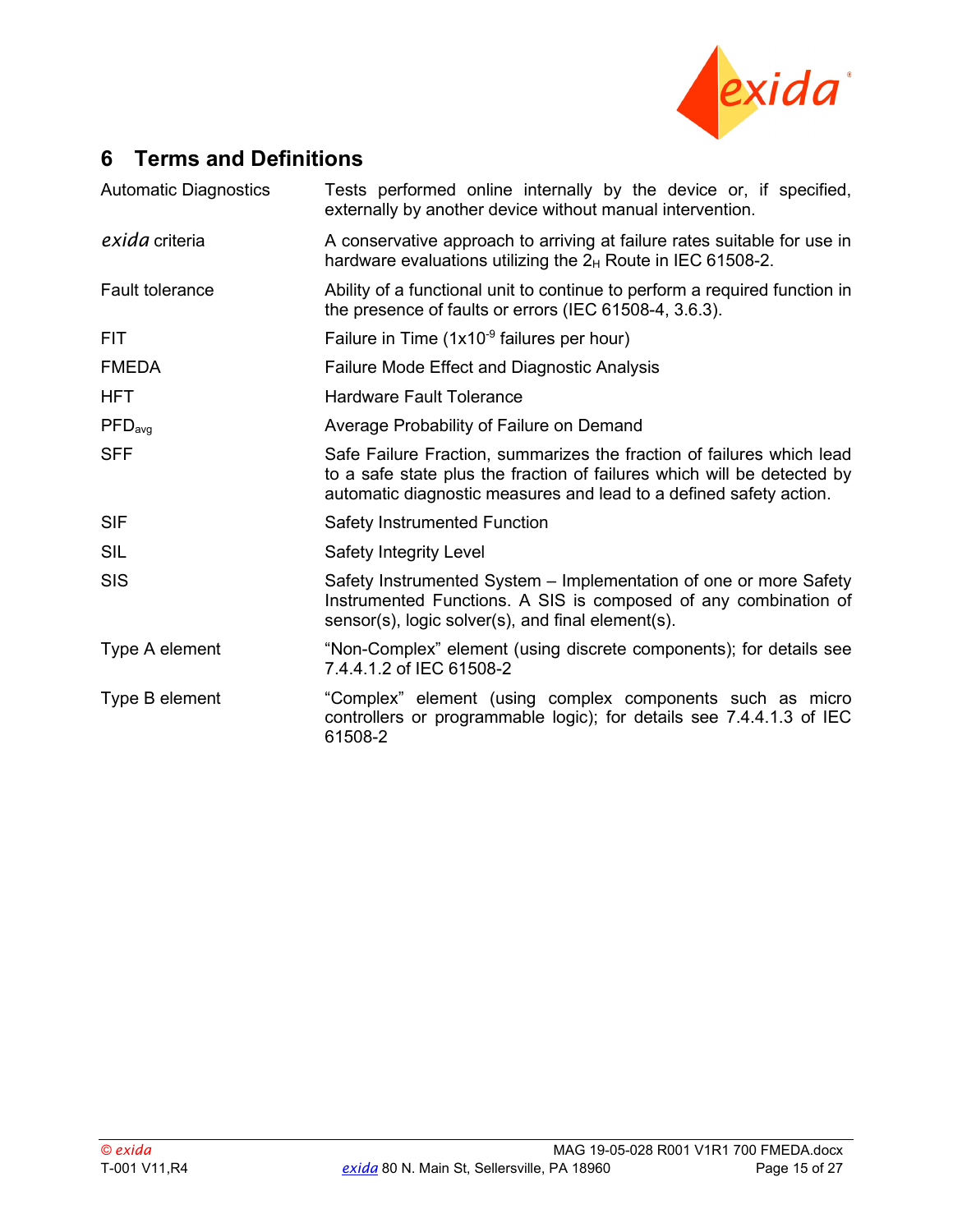

### <span id="page-14-0"></span>**6 Terms and Definitions**

| <b>Automatic Diagnostics</b> | Tests performed online internally by the device or, if specified,<br>externally by another device without manual intervention.                                                                                         |  |  |  |  |  |
|------------------------------|------------------------------------------------------------------------------------------------------------------------------------------------------------------------------------------------------------------------|--|--|--|--|--|
| exida criteria               | A conservative approach to arriving at failure rates suitable for use in<br>hardware evaluations utilizing the $2_H$ Route in IEC 61508-2.                                                                             |  |  |  |  |  |
| <b>Fault tolerance</b>       | Ability of a functional unit to continue to perform a required function in<br>the presence of faults or errors (IEC 61508-4, 3.6.3).                                                                                   |  |  |  |  |  |
| <b>FIT</b>                   | Failure in Time (1x10 <sup>-9</sup> failures per hour)                                                                                                                                                                 |  |  |  |  |  |
| <b>FMEDA</b>                 | <b>Failure Mode Effect and Diagnostic Analysis</b>                                                                                                                                                                     |  |  |  |  |  |
| <b>HFT</b>                   | <b>Hardware Fault Tolerance</b>                                                                                                                                                                                        |  |  |  |  |  |
| PFD <sub>avg</sub>           | Average Probability of Failure on Demand                                                                                                                                                                               |  |  |  |  |  |
| <b>SFF</b>                   | Safe Failure Fraction, summarizes the fraction of failures which lead<br>to a safe state plus the fraction of failures which will be detected by<br>automatic diagnostic measures and lead to a defined safety action. |  |  |  |  |  |
| <b>SIF</b>                   | <b>Safety Instrumented Function</b>                                                                                                                                                                                    |  |  |  |  |  |
| <b>SIL</b>                   | Safety Integrity Level                                                                                                                                                                                                 |  |  |  |  |  |
| <b>SIS</b>                   | Safety Instrumented System - Implementation of one or more Safety<br>Instrumented Functions. A SIS is composed of any combination of<br>sensor(s), logic solver(s), and final element(s).                              |  |  |  |  |  |
| Type A element               | "Non-Complex" element (using discrete components); for details see<br>7.4.4.1.2 of IEC 61508-2                                                                                                                         |  |  |  |  |  |
| Type B element               | "Complex" element (using complex components such as micro<br>controllers or programmable logic); for details see 7.4.4.1.3 of IEC<br>61508-2                                                                           |  |  |  |  |  |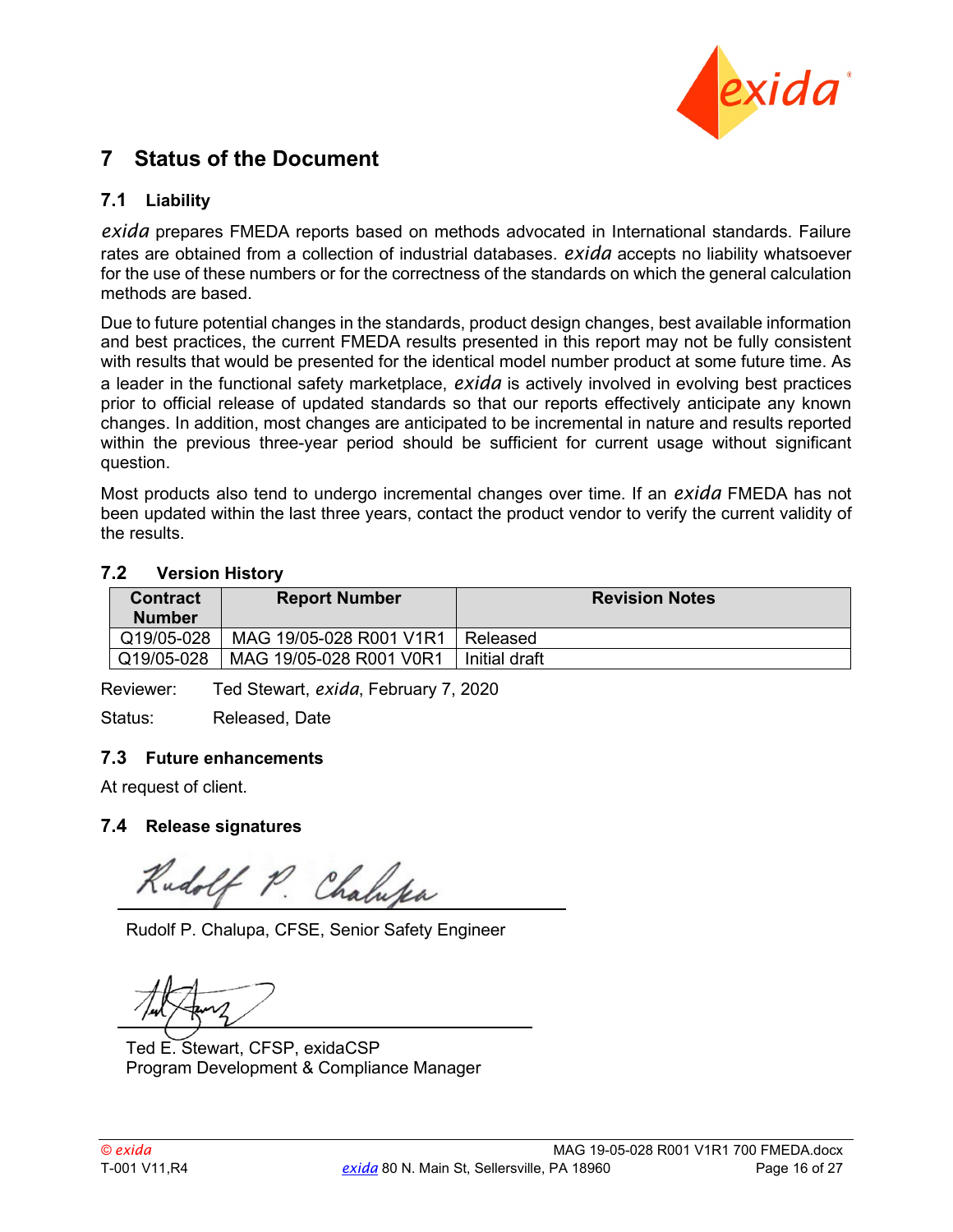

### <span id="page-15-0"></span>**7 Status of the Document**

### <span id="page-15-1"></span>**7.1 Liability**

*exida* prepares FMEDA reports based on methods advocated in International standards. Failure rates are obtained from a collection of industrial databases. *exida* accepts no liability whatsoever for the use of these numbers or for the correctness of the standards on which the general calculation methods are based.

Due to future potential changes in the standards, product design changes, best available information and best practices, the current FMEDA results presented in this report may not be fully consistent with results that would be presented for the identical model number product at some future time. As a leader in the functional safety marketplace, *exida* is actively involved in evolving best practices prior to official release of updated standards so that our reports effectively anticipate any known changes. In addition, most changes are anticipated to be incremental in nature and results reported within the previous three-year period should be sufficient for current usage without significant question.

Most products also tend to undergo incremental changes over time. If an *exida* FMEDA has not been updated within the last three years, contact the product vendor to verify the current validity of the results.

#### <span id="page-15-2"></span>**7.2 Version History**

| <b>Contract</b><br><b>Number</b> | <b>Report Number</b>    | <b>Revision Notes</b> |
|----------------------------------|-------------------------|-----------------------|
| Q19/05-028                       | MAG 19/05-028 R001 V1R1 | Released              |
| Q19/05-028                       | MAG 19/05-028 R001 V0R1 | Initial draft         |

Reviewer: Ted Stewart, *exida*, February 7, 2020

<span id="page-15-3"></span>Status: Released, Date

#### **7.3 Future enhancements**

<span id="page-15-4"></span>At request of client.

#### **7.4 Release signatures**

Rudolf P. Chalupa

Rudolf P. Chalupa, CFSE, Senior Safety Engineer

Ted E. Stewart, CFSP, exidaCSP Program Development & Compliance Manager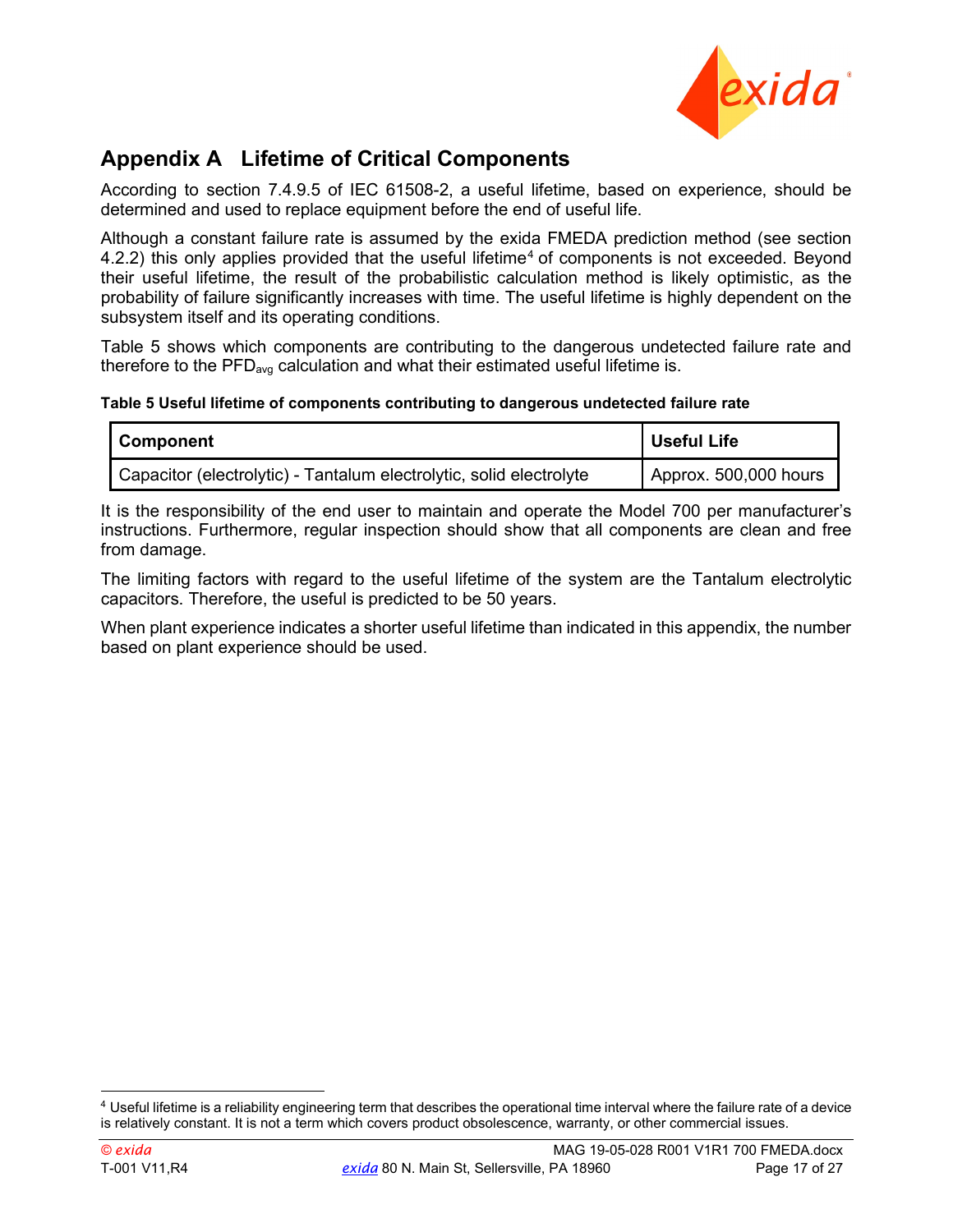

## <span id="page-16-0"></span>**Appendix A Lifetime of Critical Components**

According to section 7.4.9.5 of IEC 61508-2, a useful lifetime, based on experience, should be determined and used to replace equipment before the end of useful life.

Although a constant failure rate is assumed by the exida FMEDA prediction method (see section [4.2.2\)](#page-9-0) this only applies provided that the useful lifetime<sup>[4](#page-18-0)</sup> of components is not exceeded. Beyond their useful lifetime, the result of the probabilistic calculation method is likely optimistic, as the probability of failure significantly increases with time. The useful lifetime is highly dependent on the subsystem itself and its operating conditions.

[Table 5](#page-16-1) shows which components are contributing to the dangerous undetected failure rate and therefore to the  $PFD_{avg}$  calculation and what their estimated useful lifetime is.

#### <span id="page-16-1"></span>**Table 5 Useful lifetime of components contributing to dangerous undetected failure rate**

| <b>Component</b>                                                    | <b>Useful Life</b>    |
|---------------------------------------------------------------------|-----------------------|
| Capacitor (electrolytic) - Tantalum electrolytic, solid electrolyte | Approx. 500,000 hours |

It is the responsibility of the end user to maintain and operate the Model 700 per manufacturer's instructions. Furthermore, regular inspection should show that all components are clean and free from damage.

The limiting factors with regard to the useful lifetime of the system are the Tantalum electrolytic capacitors. Therefore, the useful is predicted to be 50 years.

When plant experience indicates a shorter useful lifetime than indicated in this appendix, the number based on plant experience should be used.

 $4$  Useful lifetime is a reliability engineering term that describes the operational time interval where the failure rate of a device is relatively constant. It is not a term which covers product obsolescence, warranty, or other commercial issues.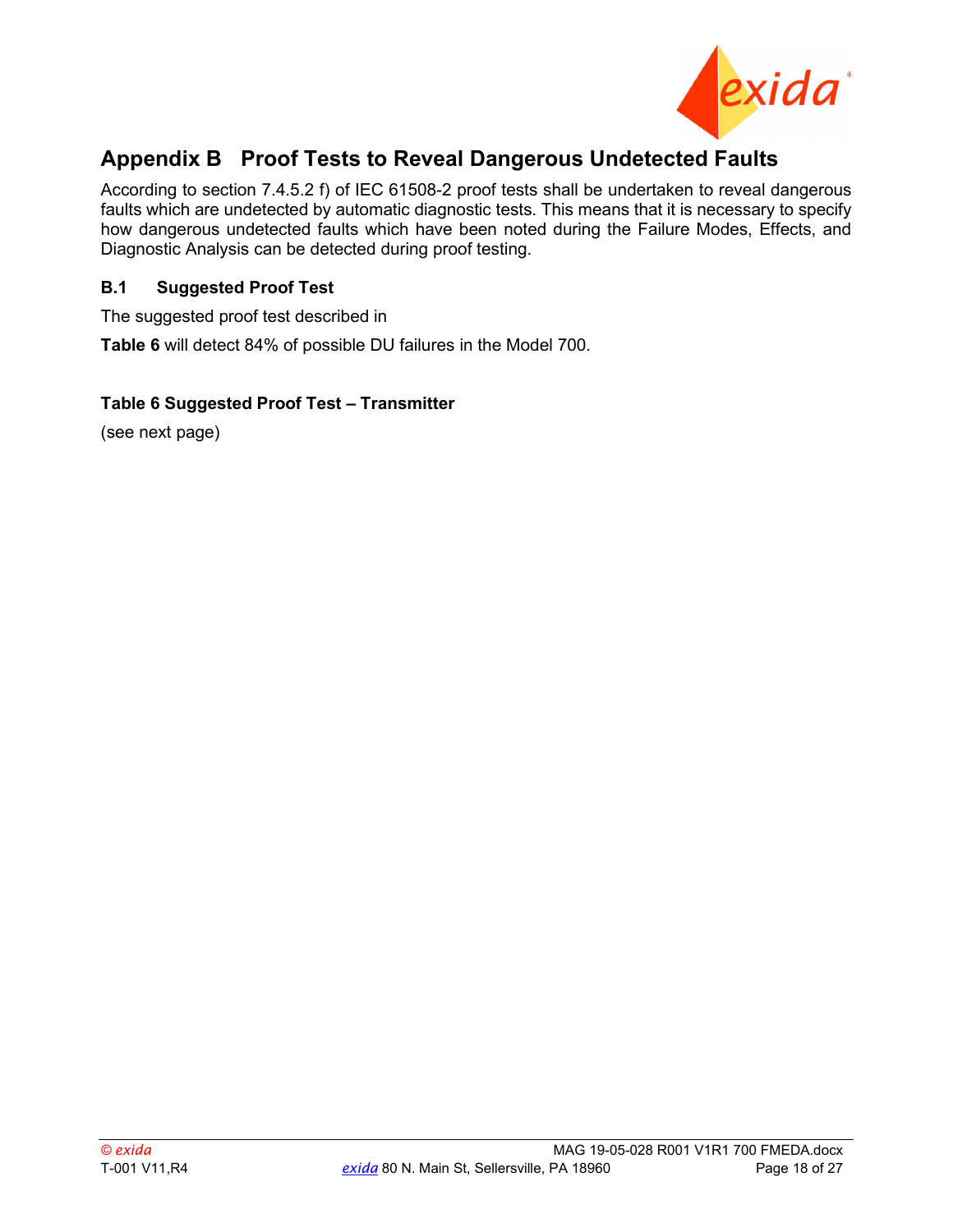

### <span id="page-17-0"></span>**Appendix B Proof Tests to Reveal Dangerous Undetected Faults**

According to section 7.4.5.2 f) of IEC 61508-2 proof tests shall be undertaken to reveal dangerous faults which are undetected by automatic diagnostic tests. This means that it is necessary to specify how dangerous undetected faults which have been noted during the Failure Modes, Effects, and Diagnostic Analysis can be detected during proof testing.

#### <span id="page-17-1"></span>**B.1 Suggested Proof Test**

The suggested proof test described in

<span id="page-17-2"></span>**[Table 6](#page-17-2)** will detect 84% of possible DU failures in the Model 700.

#### **Table 6 Suggested Proof Test – Transmitter**

(see next page)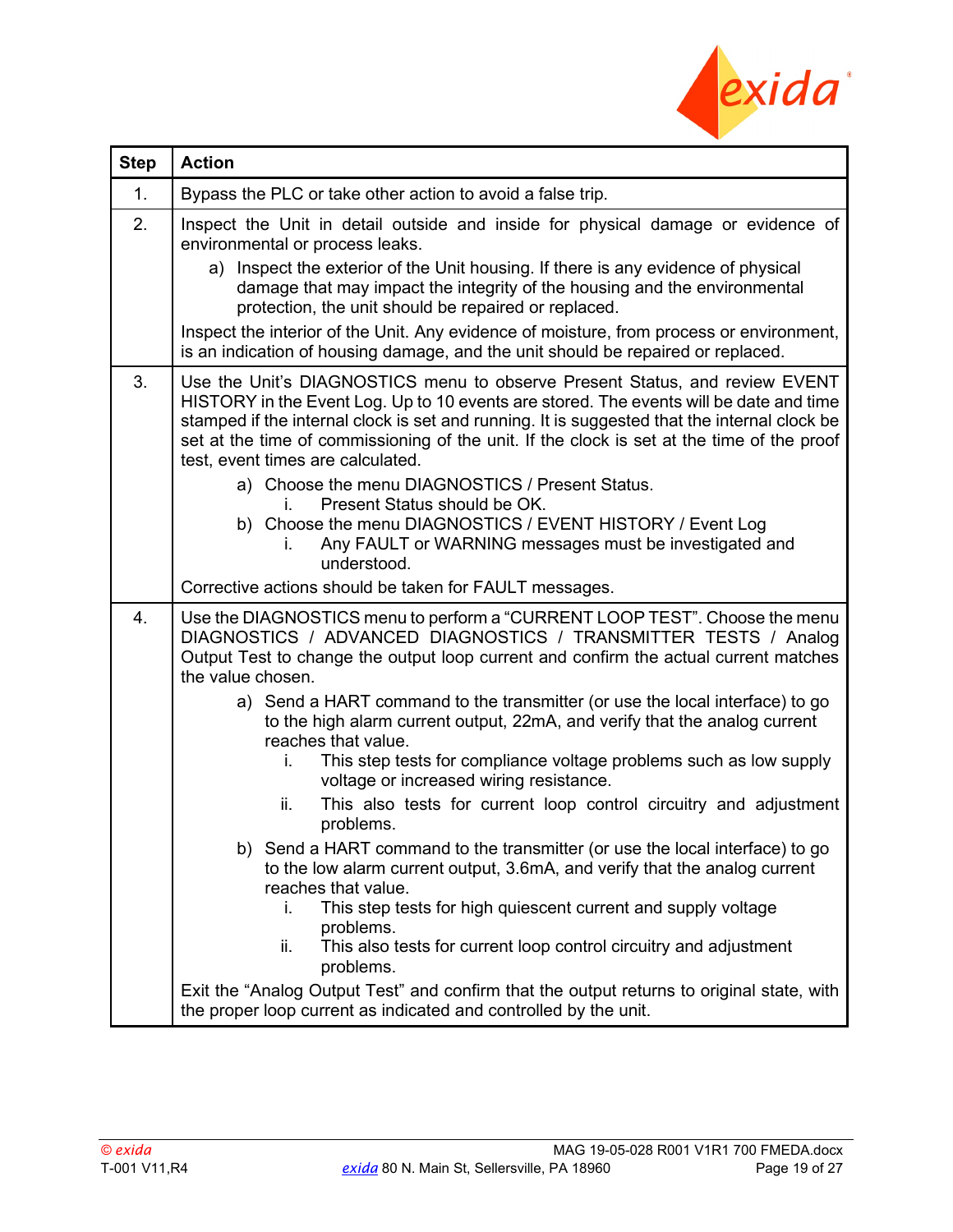

<span id="page-18-0"></span>

| <b>Step</b> | <b>Action</b>                                                                                                                                                                                                                                                                                                                                                                                            |
|-------------|----------------------------------------------------------------------------------------------------------------------------------------------------------------------------------------------------------------------------------------------------------------------------------------------------------------------------------------------------------------------------------------------------------|
| 1.          | Bypass the PLC or take other action to avoid a false trip.                                                                                                                                                                                                                                                                                                                                               |
| 2.          | Inspect the Unit in detail outside and inside for physical damage or evidence of<br>environmental or process leaks.                                                                                                                                                                                                                                                                                      |
|             | Inspect the exterior of the Unit housing. If there is any evidence of physical<br>a)<br>damage that may impact the integrity of the housing and the environmental<br>protection, the unit should be repaired or replaced.                                                                                                                                                                                |
|             | Inspect the interior of the Unit. Any evidence of moisture, from process or environment,<br>is an indication of housing damage, and the unit should be repaired or replaced.                                                                                                                                                                                                                             |
| 3.          | Use the Unit's DIAGNOSTICS menu to observe Present Status, and review EVENT<br>HISTORY in the Event Log. Up to 10 events are stored. The events will be date and time<br>stamped if the internal clock is set and running. It is suggested that the internal clock be<br>set at the time of commissioning of the unit. If the clock is set at the time of the proof<br>test, event times are calculated. |
|             | a) Choose the menu DIAGNOSTICS / Present Status.                                                                                                                                                                                                                                                                                                                                                         |
|             | Present Status should be OK.<br>L.<br>b) Choose the menu DIAGNOSTICS / EVENT HISTORY / Event Log<br>Any FAULT or WARNING messages must be investigated and<br>L.<br>understood.                                                                                                                                                                                                                          |
|             | Corrective actions should be taken for FAULT messages.                                                                                                                                                                                                                                                                                                                                                   |
| 4.          | Use the DIAGNOSTICS menu to perform a "CURRENT LOOP TEST". Choose the menu<br>DIAGNOSTICS / ADVANCED DIAGNOSTICS / TRANSMITTER TESTS / Analog<br>Output Test to change the output loop current and confirm the actual current matches<br>the value chosen.                                                                                                                                               |
|             | a) Send a HART command to the transmitter (or use the local interface) to go<br>to the high alarm current output, 22mA, and verify that the analog current<br>reaches that value.                                                                                                                                                                                                                        |
|             | This step tests for compliance voltage problems such as low supply<br>i.<br>voltage or increased wiring resistance.                                                                                                                                                                                                                                                                                      |
|             | This also tests for current loop control circuitry and adjustment<br>ii.<br>problems.                                                                                                                                                                                                                                                                                                                    |
|             | b) Send a HART command to the transmitter (or use the local interface) to go<br>to the low alarm current output, 3.6mA, and verify that the analog current<br>reaches that value.                                                                                                                                                                                                                        |
|             | This step tests for high quiescent current and supply voltage<br>i.<br>problems.<br>This also tests for current loop control circuitry and adjustment<br>ii.                                                                                                                                                                                                                                             |
|             | problems.                                                                                                                                                                                                                                                                                                                                                                                                |
|             | Exit the "Analog Output Test" and confirm that the output returns to original state, with<br>the proper loop current as indicated and controlled by the unit.                                                                                                                                                                                                                                            |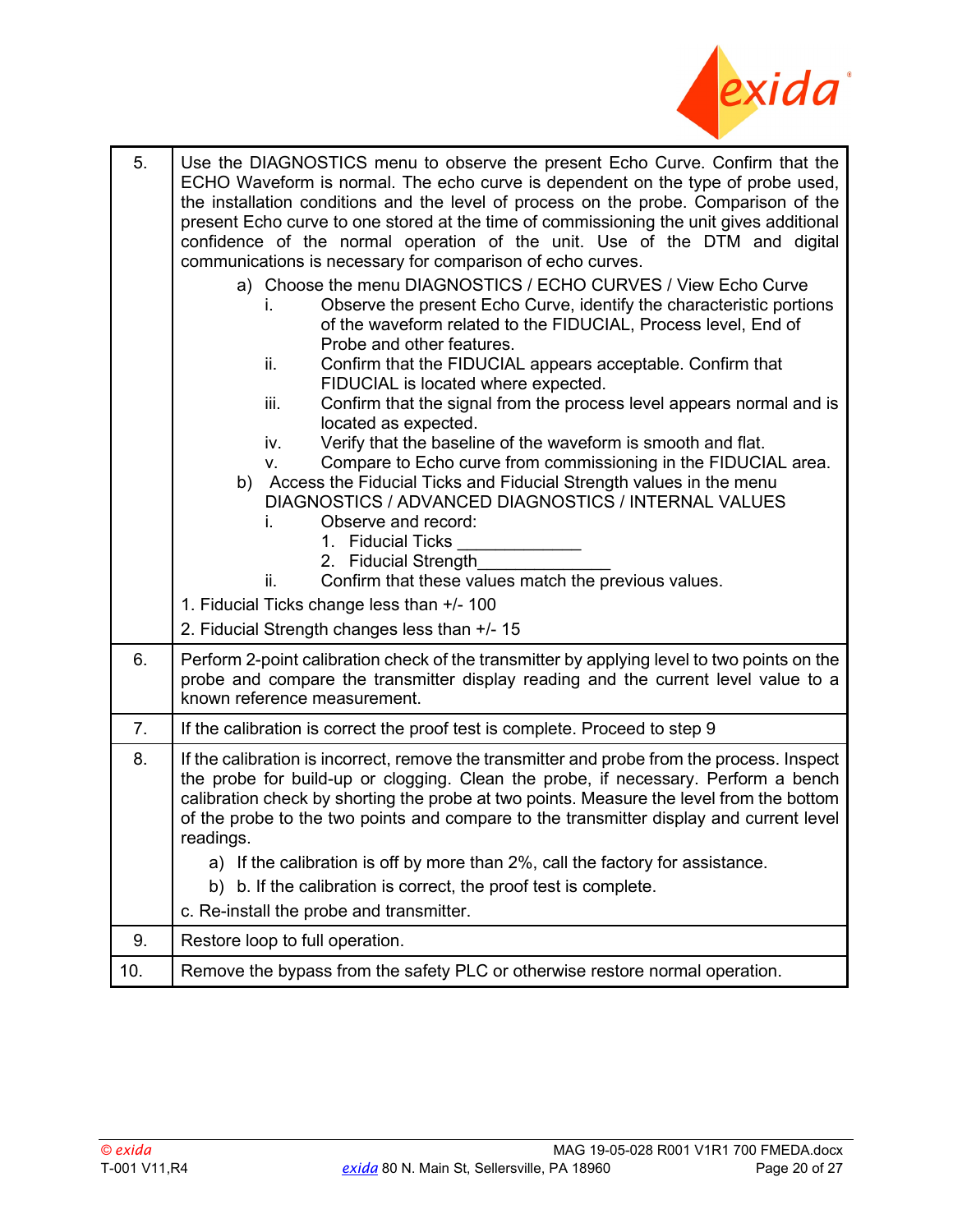

| 5.  | Use the DIAGNOSTICS menu to observe the present Echo Curve. Confirm that the<br>ECHO Waveform is normal. The echo curve is dependent on the type of probe used,<br>the installation conditions and the level of process on the probe. Comparison of the<br>present Echo curve to one stored at the time of commissioning the unit gives additional<br>confidence of the normal operation of the unit. Use of the DTM and digital<br>communications is necessary for comparison of echo curves.                                                                                                                                                                                                                                                                                                                                                                                           |
|-----|------------------------------------------------------------------------------------------------------------------------------------------------------------------------------------------------------------------------------------------------------------------------------------------------------------------------------------------------------------------------------------------------------------------------------------------------------------------------------------------------------------------------------------------------------------------------------------------------------------------------------------------------------------------------------------------------------------------------------------------------------------------------------------------------------------------------------------------------------------------------------------------|
|     | a) Choose the menu DIAGNOSTICS / ECHO CURVES / View Echo Curve<br>Observe the present Echo Curve, identify the characteristic portions<br>Ĺ.<br>of the waveform related to the FIDUCIAL, Process level, End of<br>Probe and other features.<br>ii.<br>Confirm that the FIDUCIAL appears acceptable. Confirm that<br>FIDUCIAL is located where expected.<br>Confirm that the signal from the process level appears normal and is<br>iii.<br>located as expected.<br>Verify that the baseline of the waveform is smooth and flat.<br>iv.<br>Compare to Echo curve from commissioning in the FIDUCIAL area.<br>v.<br>b) Access the Fiducial Ticks and Fiducial Strength values in the menu<br>DIAGNOSTICS / ADVANCED DIAGNOSTICS / INTERNAL VALUES<br>Observe and record:<br>Ĺ.<br>1. Fiducial Ticks<br>2. Fiducial Strength<br>Confirm that these values match the previous values.<br>ii. |
|     | 1. Fiducial Ticks change less than +/- 100<br>2. Fiducial Strength changes less than +/- 15                                                                                                                                                                                                                                                                                                                                                                                                                                                                                                                                                                                                                                                                                                                                                                                              |
| 6.  | Perform 2-point calibration check of the transmitter by applying level to two points on the<br>probe and compare the transmitter display reading and the current level value to a<br>known reference measurement.                                                                                                                                                                                                                                                                                                                                                                                                                                                                                                                                                                                                                                                                        |
| 7.  | If the calibration is correct the proof test is complete. Proceed to step 9                                                                                                                                                                                                                                                                                                                                                                                                                                                                                                                                                                                                                                                                                                                                                                                                              |
| 8.  | If the calibration is incorrect, remove the transmitter and probe from the process. Inspect<br>the probe for build-up or clogging. Clean the probe, if necessary. Perform a bench<br>calibration check by shorting the probe at two points. Measure the level from the bottom<br>of the probe to the two points and compare to the transmitter display and current level<br>readings.<br>a) If the calibration is off by more than 2%, call the factory for assistance.<br>b. If the calibration is correct, the proof test is complete.<br>b)<br>c. Re-install the probe and transmitter.                                                                                                                                                                                                                                                                                               |
| 9.  | Restore loop to full operation.                                                                                                                                                                                                                                                                                                                                                                                                                                                                                                                                                                                                                                                                                                                                                                                                                                                          |
| 10. | Remove the bypass from the safety PLC or otherwise restore normal operation.                                                                                                                                                                                                                                                                                                                                                                                                                                                                                                                                                                                                                                                                                                                                                                                                             |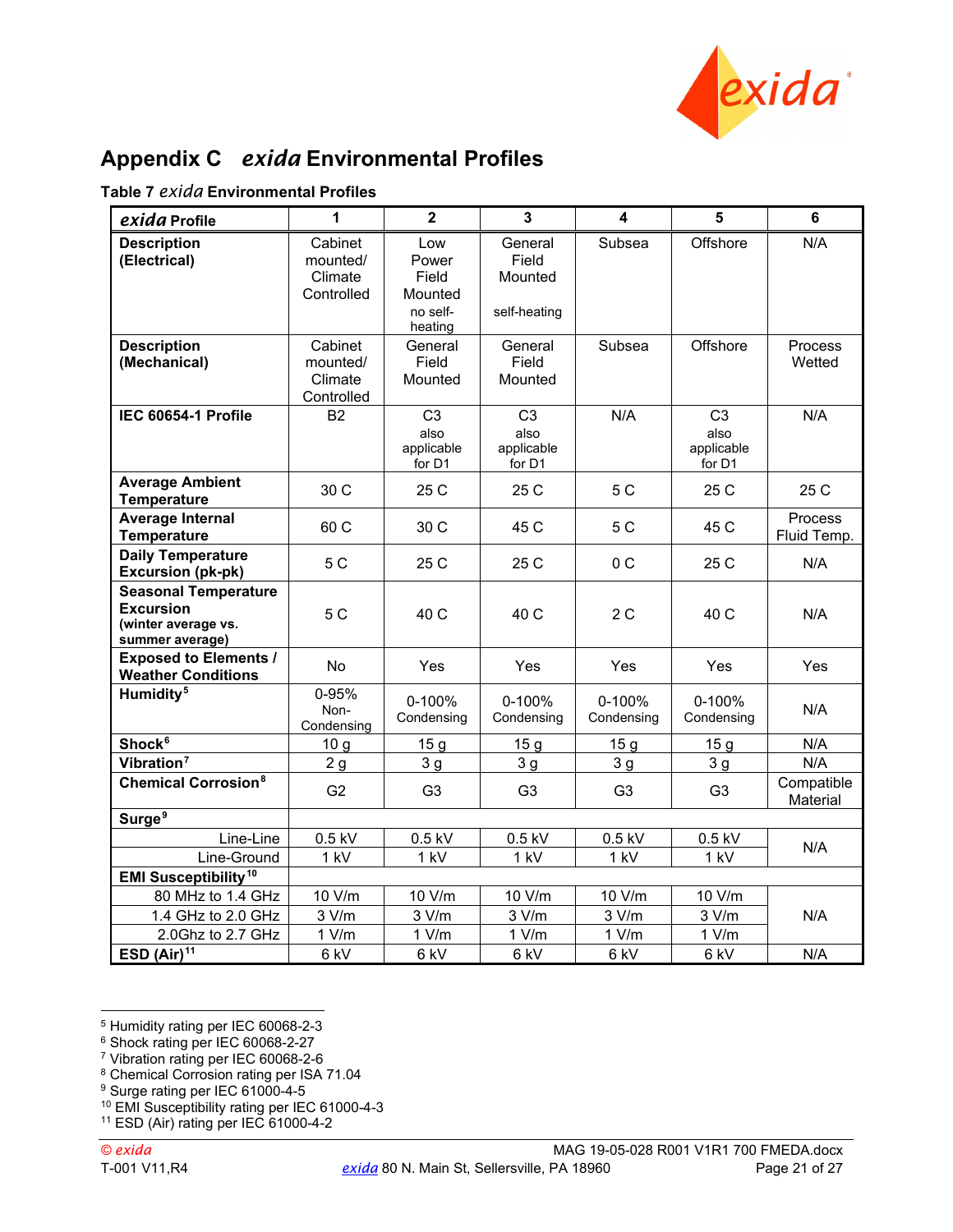

## <span id="page-20-0"></span>**Appendix C** *exida* **Environmental Profiles**

|  |  | Table 7 <i>exida</i> Environmental Profiles |  |
|--|--|---------------------------------------------|--|
|--|--|---------------------------------------------|--|

| exida Profile                                                                             | 1                                             | $\overline{2}$                                          | $\overline{\mathbf{3}}$                            | $\overline{\mathbf{4}}$ | 5                                              | 6                      |  |
|-------------------------------------------------------------------------------------------|-----------------------------------------------|---------------------------------------------------------|----------------------------------------------------|-------------------------|------------------------------------------------|------------------------|--|
| <b>Description</b><br>(Electrical)                                                        | Cabinet<br>mounted/<br>Climate<br>Controlled  | Low<br>Power<br>Field<br>Mounted<br>no self-<br>heating | General<br>Field<br>Mounted<br>self-heating        | Offshore<br>Subsea      |                                                | N/A                    |  |
| <b>Description</b><br>(Mechanical)                                                        | Cabinet<br>mounted/<br>Climate<br>Controlled  | General<br>Field<br>Mounted                             | General<br>Field<br>Mounted                        | Subsea                  | Offshore                                       | Process<br>Wetted      |  |
| IEC 60654-1 Profile                                                                       | <b>B2</b>                                     | C <sub>3</sub><br>also<br>applicable<br>for D1          | C <sub>3</sub><br>also<br>applicable<br>for D1     | N/A                     | C <sub>3</sub><br>also<br>applicable<br>for D1 | N/A                    |  |
| <b>Average Ambient</b><br><b>Temperature</b>                                              | 30 C                                          | 25 C                                                    | 25 C                                               | 5 C                     | 25 C                                           | 25 C                   |  |
| <b>Average Internal</b><br><b>Temperature</b>                                             | 60 C                                          | 30 C                                                    | 45 C                                               | 5 C                     | 45 C                                           | Process<br>Fluid Temp. |  |
| <b>Daily Temperature</b><br><b>Excursion (pk-pk)</b>                                      | 5 C                                           | 25 C                                                    | 25 C                                               | 0 C                     | 25 C                                           | N/A                    |  |
| <b>Seasonal Temperature</b><br><b>Excursion</b><br>(winter average vs.<br>summer average) | 5 C                                           | 40 C                                                    | 40 C                                               | 2 C                     | 40 C                                           | N/A                    |  |
| <b>Exposed to Elements /</b><br><b>Weather Conditions</b>                                 | <b>No</b>                                     | Yes                                                     | Yes                                                | Yes<br>Yes              |                                                | Yes                    |  |
| Humidity <sup>5</sup>                                                                     | 0-95%<br>Non-<br>Condensing                   | 0-100%<br>Condensing                                    | 0-100%<br>Condensing                               | 0-100%<br>Condensing    | 0-100%<br>Condensing                           | N/A                    |  |
| Shock <sup>6</sup>                                                                        | 10 <sub>g</sub>                               | 15 <sub>g</sub>                                         | 15 <sub>g</sub>                                    | 15 <sub>g</sub>         | 15 <sub>g</sub>                                | N/A                    |  |
| Vibration <sup>7</sup>                                                                    | 2g                                            | 3 <sub>g</sub>                                          | 3 <sub>q</sub>                                     | 3 <sub>g</sub>          | 3 <sub>q</sub>                                 | N/A                    |  |
| <b>Chemical Corrosion<sup>8</sup></b>                                                     | G <sub>2</sub>                                | G <sub>3</sub>                                          | G <sub>3</sub><br>G <sub>3</sub><br>G <sub>3</sub> |                         |                                                | Compatible<br>Material |  |
| Surge <sup>9</sup>                                                                        |                                               |                                                         |                                                    |                         |                                                |                        |  |
| Line-Line                                                                                 | $0.5$ kV                                      | $0.5$ kV                                                | $0.5$ kV                                           | $0.5$ kV                | $0.5$ kV                                       | N/A                    |  |
| Line-Ground                                                                               | 1 kV                                          | 1 kV                                                    | 1 kV                                               | 1 kV                    | 1 kV                                           |                        |  |
| <b>EMI Susceptibility<sup>10</sup></b>                                                    |                                               |                                                         |                                                    |                         |                                                |                        |  |
| 80 MHz to 1.4 GHz                                                                         | 10 V/m                                        | 10 V/m                                                  | 10 V/m                                             | 10 V/m                  | 10 V/m                                         |                        |  |
|                                                                                           | 3 V/m<br>3 V/m<br>3 V/m<br>1.4 GHz to 2.0 GHz |                                                         |                                                    | 3 V/m                   | 3 V/m                                          | N/A                    |  |
| 2.0Ghz to 2.7 GHz                                                                         | 1 V/m                                         | 1 V/m                                                   | 1 V/m                                              | 1 V/m                   | 1 V/m                                          |                        |  |
| ESD $(Air)^{11}$                                                                          | 6 kV                                          | 6 kV                                                    | 6 kV                                               | 6 kV                    | 6 kV                                           | N/A                    |  |

<sup>5</sup> Humidity rating per IEC 60068-2-3

<sup>6</sup> Shock rating per IEC 60068-2-27

<sup>7</sup> Vibration rating per IEC 60068-2-6

<sup>8</sup> Chemical Corrosion rating per ISA 71.04

<sup>9</sup> Surge rating per IEC 61000-4-5

<sup>10</sup> EMI Susceptibility rating per IEC 61000-4-3

<sup>11</sup> ESD (Air) rating per IEC 61000-4-2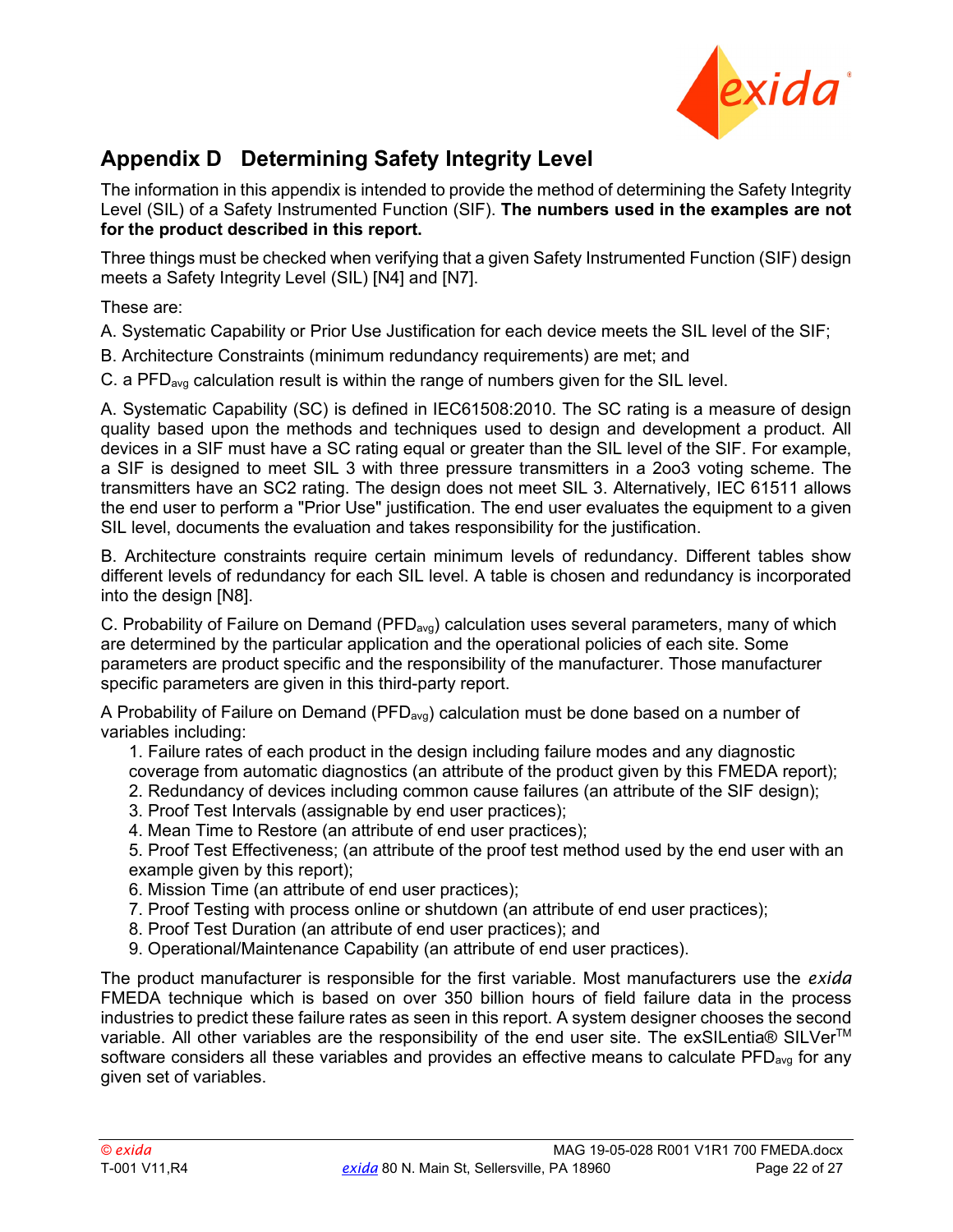

## <span id="page-21-0"></span>**Appendix D Determining Safety Integrity Level**

The information in this appendix is intended to provide the method of determining the Safety Integrity Level (SIL) of a Safety Instrumented Function (SIF). **The numbers used in the examples are not for the product described in this report.** 

Three things must be checked when verifying that a given Safety Instrumented Function (SIF) design meets a Safety Integrity Level (SIL) [\[N4\]](#page-4-5) and [\[N7\].](#page-4-6)

These are:

A. Systematic Capability or Prior Use Justification for each device meets the SIL level of the SIF;

B. Architecture Constraints (minimum redundancy requirements) are met; and

C. a PFD<sub>avg</sub> calculation result is within the range of numbers given for the SIL level.

A. Systematic Capability (SC) is defined in IEC61508:2010. The SC rating is a measure of design quality based upon the methods and techniques used to design and development a product. All devices in a SIF must have a SC rating equal or greater than the SIL level of the SIF. For example, a SIF is designed to meet SIL 3 with three pressure transmitters in a 2oo3 voting scheme. The transmitters have an SC2 rating. The design does not meet SIL 3. Alternatively, IEC 61511 allows the end user to perform a "Prior Use" justification. The end user evaluates the equipment to a given SIL level, documents the evaluation and takes responsibility for the justification.

B. Architecture constraints require certain minimum levels of redundancy. Different tables show different levels of redundancy for each SIL level. A table is chosen and redundancy is incorporated into the design [\[N8\].](#page-5-4)

C. Probability of Failure on Demand ( $PFD<sub>ava</sub>$ ) calculation uses several parameters, many of which are determined by the particular application and the operational policies of each site. Some parameters are product specific and the responsibility of the manufacturer. Those manufacturer specific parameters are given in this third-party report.

A Probability of Failure on Demand (PFD<sub>avg</sub>) calculation must be done based on a number of variables including:

1. Failure rates of each product in the design including failure modes and any diagnostic coverage from automatic diagnostics (an attribute of the product given by this FMEDA report);

- 2. Redundancy of devices including common cause failures (an attribute of the SIF design);
- 3. Proof Test Intervals (assignable by end user practices);
- 4. Mean Time to Restore (an attribute of end user practices);

5. Proof Test Effectiveness; (an attribute of the proof test method used by the end user with an example given by this report);

- 6. Mission Time (an attribute of end user practices);
- 7. Proof Testing with process online or shutdown (an attribute of end user practices);
- 8. Proof Test Duration (an attribute of end user practices); and
- 9. Operational/Maintenance Capability (an attribute of end user practices).

The product manufacturer is responsible for the first variable. Most manufacturers use the *exida* FMEDA technique which is based on over 350 billion hours of field failure data in the process industries to predict these failure rates as seen in this report. A system designer chooses the second variable. All other variables are the responsibility of the end user site. The exSILentia® SILVer<sup>™</sup> software considers all these variables and provides an effective means to calculate  $PFD<sub>ava</sub>$  for any given set of variables.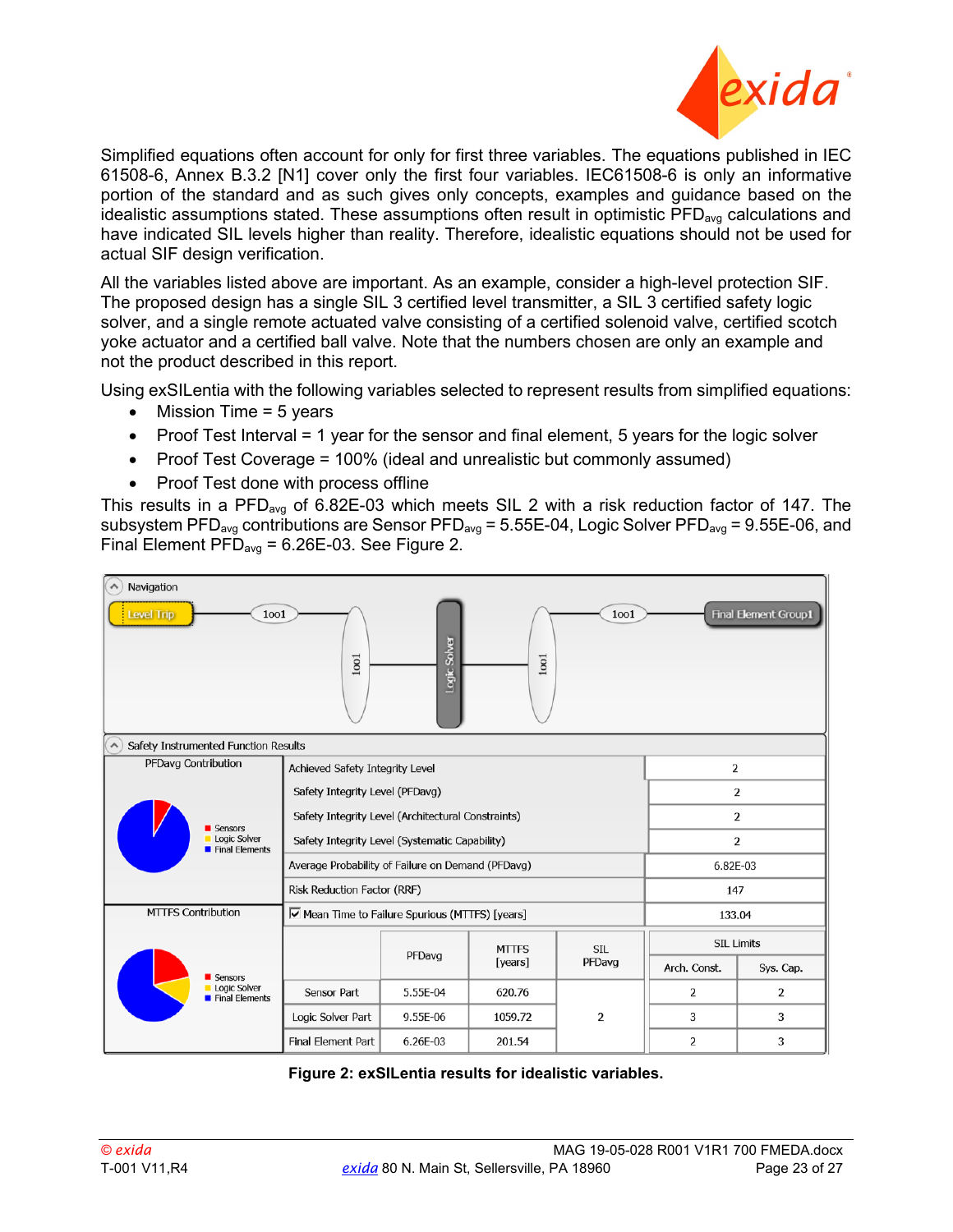

Simplified equations often account for only for first three variables. The equations published in IEC 61508-6, Annex B.3.2 [\[N1\]](#page-4-7) cover only the first four variables. IEC61508-6 is only an informative portion of the standard and as such gives only concepts, examples and guidance based on the idealistic assumptions stated. These assumptions often result in optimistic  $\overline{PFD}_{\text{avg}}$  calculations and have indicated SIL levels higher than reality. Therefore, idealistic equations should not be used for actual SIF design verification.

All the variables listed above are important. As an example, consider a high-level protection SIF. The proposed design has a single SIL 3 certified level transmitter, a SIL 3 certified safety logic solver, and a single remote actuated valve consisting of a certified solenoid valve, certified scotch yoke actuator and a certified ball valve. Note that the numbers chosen are only an example and not the product described in this report.

Using exSILentia with the following variables selected to represent results from simplified equations:

- Mission Time  $= 5$  years
- Proof Test Interval = 1 year for the sensor and final element, 5 years for the logic solver
- Proof Test Coverage = 100% (ideal and unrealistic but commonly assumed)
- Proof Test done with process offline

This results in a PFD<sub>avg</sub> of 6.82E-03 which meets SIL 2 with a risk reduction factor of 147. The subsystem PFD<sub>avg</sub> contributions are Sensor PFD<sub>avg</sub> = 5.55E-04, Logic Solver PFD<sub>avg</sub> = 9.55E-06, and Final Element  $\overline{PP}_{avg} = 6.26E-03$ . See [Figure 2.](#page-22-7)



<span id="page-22-7"></span><span id="page-22-6"></span><span id="page-22-5"></span><span id="page-22-4"></span><span id="page-22-3"></span><span id="page-22-2"></span><span id="page-22-1"></span><span id="page-22-0"></span>**Figure 2: exSILentia results for idealistic variables.**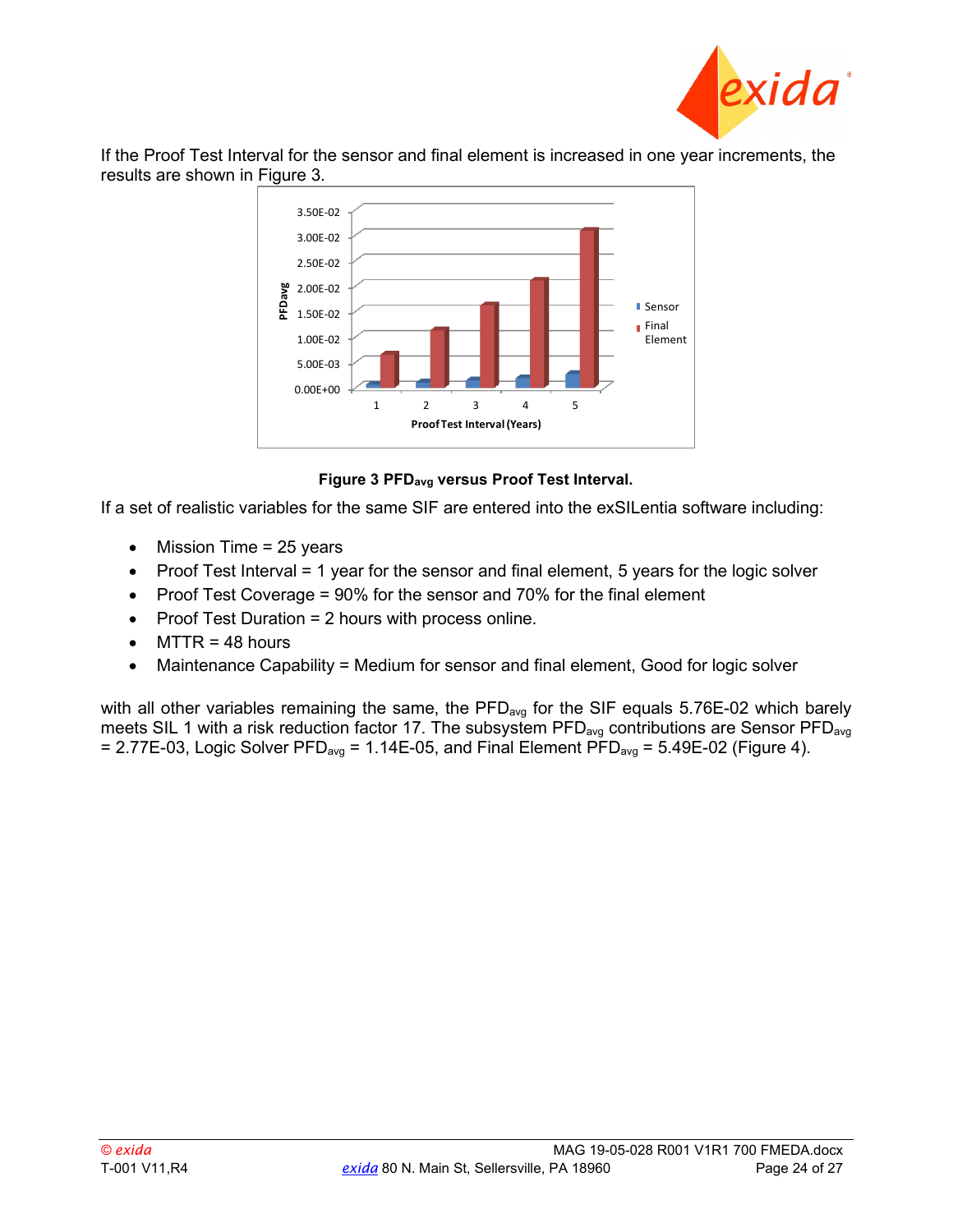

If the Proof Test Interval for the sensor and final element is increased in one year increments, the results are shown in [Figure 3.](#page-23-0)



#### **Figure 3 PFDavg versus Proof Test Interval.**

<span id="page-23-0"></span>If a set of realistic variables for the same SIF are entered into the exSILentia software including:

- Mission Time = 25 years
- Proof Test Interval = 1 year for the sensor and final element, 5 years for the logic solver
- Proof Test Coverage = 90% for the sensor and 70% for the final element
- Proof Test Duration = 2 hours with process online.
- $MTTR = 48$  hours
- Maintenance Capability = Medium for sensor and final element, Good for logic solver

with all other variables remaining the same, the  $PFD_{avg}$  for the SIF equals 5.76E-02 which barely meets SIL 1 with a risk reduction factor 17. The subsystem  $PFD_{avg}$  contributions are Sensor  $PFD_{avg}$  $= 2.77E-03$ , Logic Solver PFD<sub>avg</sub> = 1.14E-05, and Final Element PFD<sub>avg</sub> = 5.49E-02 [\(Figure 4\)](#page-24-0).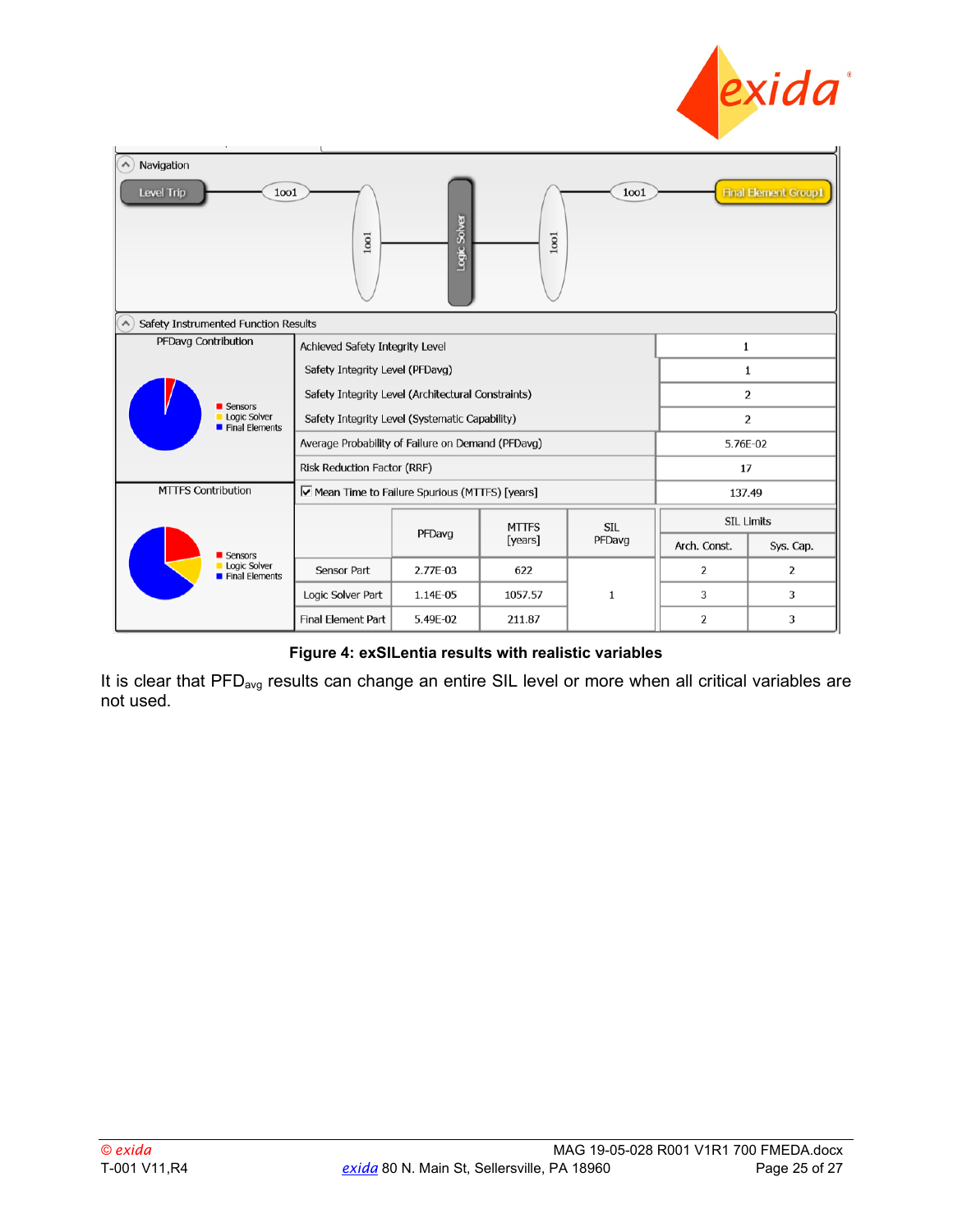

| Navigation<br>$\boldsymbol{\wedge}$<br><b>Final Element Group1</b><br>Level Trip<br>1001<br>1001<br>Logic Solver<br>1001<br>$1001$ |                                                    |          |                         |                      |                   |           |  |
|------------------------------------------------------------------------------------------------------------------------------------|----------------------------------------------------|----------|-------------------------|----------------------|-------------------|-----------|--|
| Safety Instrumented Function Results<br>$\boldsymbol{\wedge}$                                                                      |                                                    |          |                         |                      |                   |           |  |
| PFDavg Contribution                                                                                                                | Achieved Safety Integrity Level                    |          |                         |                      | 1                 |           |  |
|                                                                                                                                    | Safety Integrity Level (PFDavg)                    |          |                         |                      | 1                 |           |  |
|                                                                                                                                    | Safety Integrity Level (Architectural Constraints) |          |                         |                      | 2                 |           |  |
| Sensors<br>Logic Solver<br>Final Elements                                                                                          | Safety Integrity Level (Systematic Capability)     |          | $\overline{2}$          |                      |                   |           |  |
|                                                                                                                                    | Average Probability of Failure on Demand (PFDavg)  |          | 5.76E-02                |                      |                   |           |  |
|                                                                                                                                    | Risk Reduction Factor (RRF)                        |          | 17                      |                      |                   |           |  |
| <b>MTTFS Contribution</b><br>Mean Time to Failure Spurious (MTTFS) [years]                                                         |                                                    |          |                         |                      | 137.49            |           |  |
|                                                                                                                                    |                                                    |          | <b>MTTFS</b><br>[years] | <b>SIL</b><br>PFDavg | <b>SIL Limits</b> |           |  |
| Sensors                                                                                                                            |                                                    | PFDavg   |                         |                      | Arch. Const.      | Sys. Cap. |  |
| Logic Solver<br>Final Elements                                                                                                     | Sensor Part                                        | 2.77E-03 | 622                     |                      | 2                 | 2         |  |
|                                                                                                                                    | Logic Solver Part                                  | 1.14E-05 | 1057.57                 | 1                    | 3                 | 3         |  |
|                                                                                                                                    | Final Element Part                                 | 5.49E-02 | 211.87                  |                      | 2                 | 3         |  |

**Figure 4: exSILentia results with realistic variables**

<span id="page-24-0"></span>It is clear that PFD<sub>avg</sub> results can change an entire SIL level or more when all critical variables are not used.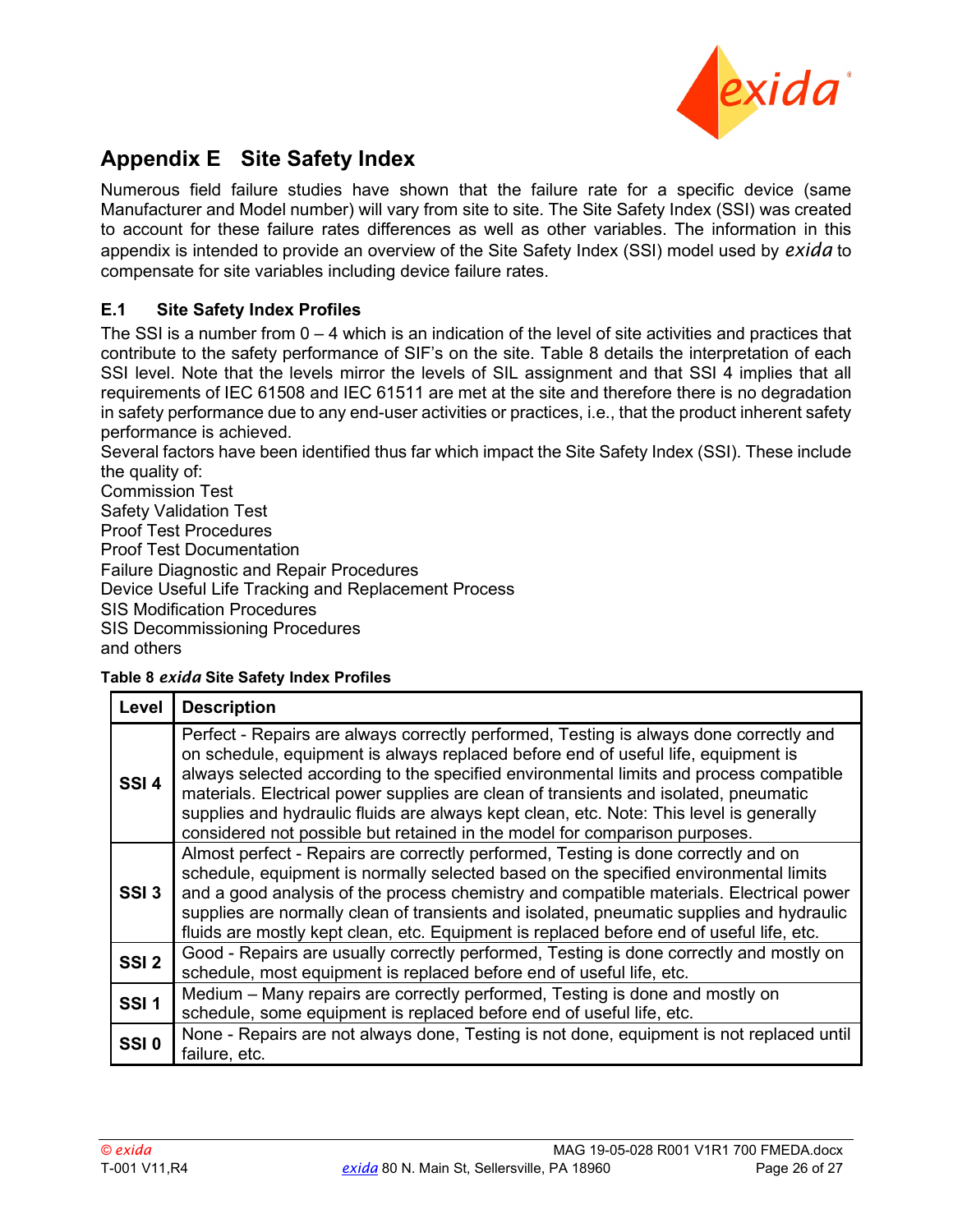

## <span id="page-25-0"></span>**Appendix E Site Safety Index**

Numerous field failure studies have shown that the failure rate for a specific device (same Manufacturer and Model number) will vary from site to site. The Site Safety Index (SSI) was created to account for these failure rates differences as well as other variables. The information in this appendix is intended to provide an overview of the Site Safety Index (SSI) model used by *exida* to compensate for site variables including device failure rates.

#### <span id="page-25-1"></span>**E.1 Site Safety Index Profiles**

The SSI is a number from  $0 - 4$  which is an indication of the level of site activities and practices that contribute to the safety performance of SIF's on the site. [Table 8](#page-25-2) details the interpretation of each SSI level. Note that the levels mirror the levels of SIL assignment and that SSI 4 implies that all requirements of IEC 61508 and IEC 61511 are met at the site and therefore there is no degradation in safety performance due to any end-user activities or practices, i.e., that the product inherent safety performance is achieved.

Several factors have been identified thus far which impact the Site Safety Index (SSI). These include the quality of:

Commission Test Safety Validation Test Proof Test Procedures Proof Test Documentation Failure Diagnostic and Repair Procedures Device Useful Life Tracking and Replacement Process SIS Modification Procedures SIS Decommissioning Procedures and others

#### <span id="page-25-2"></span>**Table 8** *exida* **Site Safety Index Profiles**

| Level            | <b>Description</b>                                                                                                                                                                                                                                                                                                                                                                                                                                                                                                                     |
|------------------|----------------------------------------------------------------------------------------------------------------------------------------------------------------------------------------------------------------------------------------------------------------------------------------------------------------------------------------------------------------------------------------------------------------------------------------------------------------------------------------------------------------------------------------|
| SSI <sub>4</sub> | Perfect - Repairs are always correctly performed, Testing is always done correctly and<br>on schedule, equipment is always replaced before end of useful life, equipment is<br>always selected according to the specified environmental limits and process compatible<br>materials. Electrical power supplies are clean of transients and isolated, pneumatic<br>supplies and hydraulic fluids are always kept clean, etc. Note: This level is generally<br>considered not possible but retained in the model for comparison purposes. |
| SSI <sub>3</sub> | Almost perfect - Repairs are correctly performed, Testing is done correctly and on<br>schedule, equipment is normally selected based on the specified environmental limits<br>and a good analysis of the process chemistry and compatible materials. Electrical power<br>supplies are normally clean of transients and isolated, pneumatic supplies and hydraulic<br>fluids are mostly kept clean, etc. Equipment is replaced before end of useful life, etc.                                                                          |
| SSI <sub>2</sub> | Good - Repairs are usually correctly performed, Testing is done correctly and mostly on<br>schedule, most equipment is replaced before end of useful life, etc.                                                                                                                                                                                                                                                                                                                                                                        |
| SSI <sub>1</sub> | Medium – Many repairs are correctly performed, Testing is done and mostly on<br>schedule, some equipment is replaced before end of useful life, etc.                                                                                                                                                                                                                                                                                                                                                                                   |
| SSI <sub>0</sub> | None - Repairs are not always done, Testing is not done, equipment is not replaced until<br>failure, etc.                                                                                                                                                                                                                                                                                                                                                                                                                              |